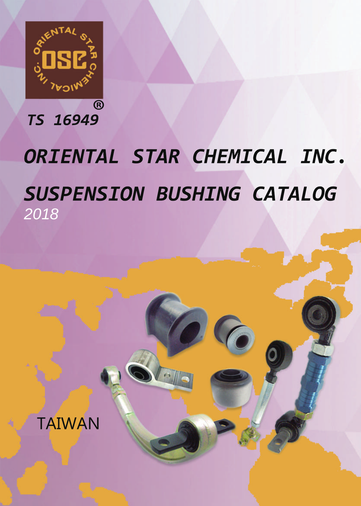

*TS16949*

## ORIENTAL STAR CHEMICAL INC. **SUSPENSION BUSHING CATALOG** 2018

 $\mathcal{C}$ 

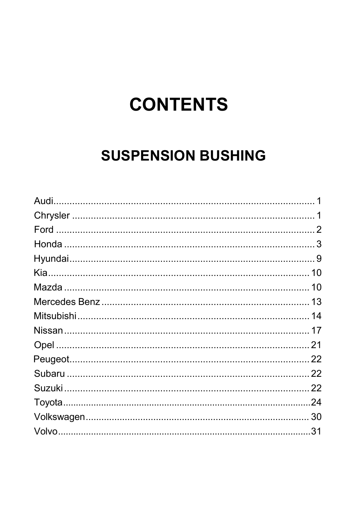## **CONTENTS**

## **SUSPENSION BUSHING**

| 22 |
|----|
| 22 |
|    |
|    |
|    |
| 31 |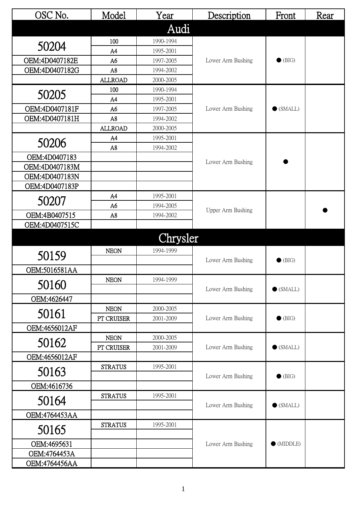| OSC No.        | Model          | Year      | Description       | Front              | Rear |
|----------------|----------------|-----------|-------------------|--------------------|------|
|                |                | Audi      |                   |                    |      |
|                | 100            | 1990-1994 |                   |                    |      |
| 50204          | A4             | 1995-2001 |                   |                    |      |
| OEM:4D0407182E | A6             | 1997-2005 | Lower Arm Bushing | $\bullet$ (BIG)    |      |
| OEM:4D0407182G | A8             | 1994-2002 |                   |                    |      |
|                | <b>ALLROAD</b> | 2000-2005 |                   |                    |      |
| 50205          | 100            | 1990-1994 |                   |                    |      |
|                | A4             | 1995-2001 |                   |                    |      |
| OEM:4D0407181F | A <sub>6</sub> | 1997-2005 | Lower Arm Bushing | $\bullet$ (SMALL)  |      |
| OEM:4D0407181H | A8             | 1994-2002 |                   |                    |      |
|                | <b>ALLROAD</b> | 2000-2005 |                   |                    |      |
| 50206          | A4             | 1995-2001 |                   |                    |      |
|                | A8             | 1994-2002 |                   |                    |      |
| OEM:4D0407183  |                |           | Lower Arm Bushing |                    |      |
| OEM:4D0407183M |                |           |                   |                    |      |
| OEM:4D0407183N |                |           |                   |                    |      |
| OEM:4D0407183P |                |           |                   |                    |      |
| 50207          | A4             | 1995-2001 |                   |                    |      |
|                | A <sub>6</sub> | 1994-2005 | Upper Arm Bushing |                    |      |
| OEM:4B0407515  | A8             | 1994-2002 |                   |                    |      |
| OEM:4D0407515C |                |           |                   |                    |      |
|                |                | Chrysler  |                   |                    |      |
|                | <b>NEON</b>    | 1994-1999 |                   |                    |      |
| 50159          |                |           | Lower Arm Bushing | $\bullet$ (BIG)    |      |
| OEM:5016581AA  |                |           |                   |                    |      |
|                | <b>NEON</b>    | 1994-1999 |                   |                    |      |
| 50160          |                |           | Lower Arm Bushing | $\bullet$ (SMALL)  |      |
| OEM:4626447    |                |           |                   |                    |      |
| 50161          | <b>NEON</b>    | 2000-2005 |                   |                    |      |
|                | PT CRUISER     | 2001-2009 | Lower Arm Bushing | $\bullet$ (BIG)    |      |
| OEM:4656012AF  |                |           |                   |                    |      |
| 50162          | <b>NEON</b>    | 2000-2005 |                   |                    |      |
|                | PT CRUISER     | 2001-2009 | Lower Arm Bushing | $\bullet$ (SMALL)  |      |
| OEM:4656012AF  |                |           |                   |                    |      |
| 50163          | <b>STRATUS</b> | 1995-2001 |                   |                    |      |
|                |                |           | Lower Arm Bushing | $\bullet$ (BIG)    |      |
| OEM:4616736    |                |           |                   |                    |      |
| 50164          | <b>STRATUS</b> | 1995-2001 | Lower Arm Bushing | $\bullet$ (SMALL)  |      |
| OEM:4764453AA  |                |           |                   |                    |      |
|                | <b>STRATUS</b> | 1995-2001 |                   |                    |      |
| 50165          |                |           |                   |                    |      |
| OEM:4695631    |                |           | Lower Arm Bushing | $\bullet$ (MIDDLE) |      |
| OEM:4764453A   |                |           |                   |                    |      |
| OEM:4764456AA  |                |           |                   |                    |      |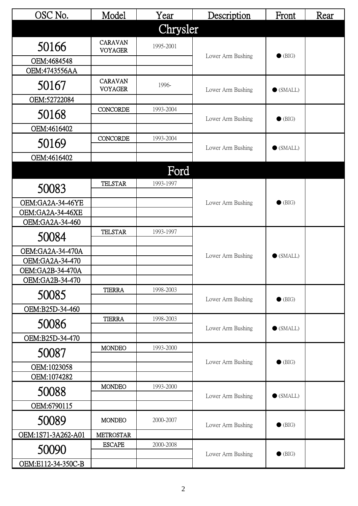| OSC No.                              | Model                            | Year      | Description       | Front             | Rear |
|--------------------------------------|----------------------------------|-----------|-------------------|-------------------|------|
|                                      |                                  | Chrysler  |                   |                   |      |
| 50166                                | <b>CARAVAN</b><br><b>VOYAGER</b> | 1995-2001 |                   |                   |      |
| OEM:4684548                          |                                  |           | Lower Arm Bushing | $\bullet$ (BIG)   |      |
| OEM:4743556AA                        |                                  |           |                   |                   |      |
| 50167                                | <b>CARAVAN</b><br><b>VOYAGER</b> | 1996-     | Lower Arm Bushing | $\bullet$ (SMALL) |      |
| OEM:52722084                         |                                  |           |                   |                   |      |
| 50168                                | <b>CONCORDE</b>                  | 1993-2004 | Lower Arm Bushing | $\bullet$ (BIG)   |      |
| OEM:4616402                          |                                  |           |                   |                   |      |
| 50169                                | <b>CONCORDE</b>                  | 1993-2004 | Lower Arm Bushing | $\bullet$ (SMALL) |      |
| OEM:4616402                          |                                  |           |                   |                   |      |
|                                      |                                  | Ford      |                   |                   |      |
| 50083                                | <b>TELSTAR</b>                   | 1993-1997 |                   |                   |      |
|                                      |                                  |           | Lower Arm Bushing | $\bullet$ (BIG)   |      |
| OEM:GA2A-34-46YE<br>OEM:GA2A-34-46XE |                                  |           |                   |                   |      |
| OEM:GA2A-34-460                      |                                  |           |                   |                   |      |
| 50084                                | <b>TELSTAR</b>                   | 1993-1997 |                   |                   |      |
| OEM:GA2A-34-470A                     |                                  |           |                   |                   |      |
| OEM:GA2A-34-470                      |                                  |           | Lower Arm Bushing | $\bullet$ (SMALL) |      |
| OEM:GA2B-34-470A                     |                                  |           |                   |                   |      |
| OEM:GA2B-34-470                      |                                  |           |                   |                   |      |
| 50085                                | <b>TIERRA</b>                    | 1998-2003 | Lower Arm Bushing | $\bullet$ (BIG)   |      |
| OEM:B25D-34-460                      |                                  |           |                   |                   |      |
| 50086                                | <b>TIERRA</b>                    | 1998-2003 | Lower Arm Bushing | $\bullet$ (SMALL) |      |
| OEM:B25D-34-470                      |                                  |           |                   |                   |      |
| 50087                                | <b>MONDEO</b>                    | 1993-2000 |                   |                   |      |
| OEM:1023058                          |                                  |           | Lower Arm Bushing | $\bullet$ (BIG)   |      |
| OEM:1074282                          |                                  |           |                   |                   |      |
| 50088                                | <b>MONDEO</b>                    | 1993-2000 | Lower Arm Bushing | $\bullet$ (SMALL) |      |
| OEM:6790115                          |                                  |           |                   |                   |      |
| 50089                                | <b>MONDEO</b>                    | 2000-2007 | Lower Arm Bushing | $\bullet$ (BIG)   |      |
| OEM:1S71-3A262-A01                   | <b>METROSTAR</b>                 |           |                   |                   |      |
| 50090                                | <b>ESCAPE</b>                    | 2000-2008 | Lower Arm Bushing | $\bullet$ (BIG)   |      |
| OEM:E112-34-350C-B                   |                                  |           |                   |                   |      |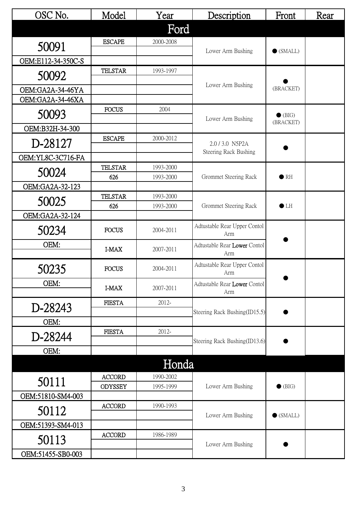| OSC No.            | Model          | Year      | Description                         | Front             | Rear |
|--------------------|----------------|-----------|-------------------------------------|-------------------|------|
|                    |                | Ford      |                                     |                   |      |
| 50091              | <b>ESCAPE</b>  | 2000-2008 |                                     |                   |      |
|                    |                |           | Lower Arm Bushing                   | $\bullet$ (SMALL) |      |
| OEM:E112-34-350C-S | <b>TELSTAR</b> | 1993-1997 |                                     |                   |      |
| 50092              |                |           |                                     |                   |      |
| OEM:GA2A-34-46YA   |                |           | Lower Arm Bushing                   | (BRACKET)         |      |
| OEM:GA2A-34-46XA   |                |           |                                     |                   |      |
| 50093              | <b>FOCUS</b>   | 2004      | Lower Arm Bushing                   | $\bullet$ (BIG)   |      |
| OEM:B32H-34-300    |                |           |                                     | (BRACKET)         |      |
| D-28127            | <b>ESCAPE</b>  | 2000-2012 | 2.0 / 3.0 N5P2A                     |                   |      |
|                    |                |           | Steering Rack Bushing               |                   |      |
| OEM:YL8C-3C716-FA  | <b>TELSTAR</b> | 1993-2000 |                                     |                   |      |
| 50024              | 626            | 1993-2000 | Grommet Steering Rack               | $\bullet$ RH      |      |
| OEM:GA2A-32-123    |                |           |                                     |                   |      |
| 50025              | <b>TELSTAR</b> | 1993-2000 |                                     |                   |      |
|                    | 626            | 1993-2000 | Grommet Steering Rack               | $\bullet$ LH      |      |
| OEM:GA2A-32-124    |                |           |                                     |                   |      |
| 50234              | <b>FOCUS</b>   | 2004-2011 | Adtustable Rear Upper Contol<br>Arm |                   |      |
| OEM:               | I-MAX          | 2007-2011 | Adtustable Rear Lower Contol<br>Arm |                   |      |
| 50235              | <b>FOCUS</b>   | 2004-2011 | Adtustable Rear Upper Contol        |                   |      |
|                    |                |           | Arm                                 |                   |      |
| OEM:               | I-MAX          | 2007-2011 | Adtustable Rear Lower Contol<br>Arm |                   |      |
| D-28243            | <b>FIESTA</b>  | 2012-     |                                     |                   |      |
|                    |                |           | Steering Rack Bushing(ID15.5)       |                   |      |
| OEM:               | <b>FIESTA</b>  | 2012-     |                                     |                   |      |
| D-28244            |                |           | Steering Rack Bushing(ID13.6)       |                   |      |
| OEM:               |                |           |                                     |                   |      |
|                    |                | Honda     |                                     |                   |      |
|                    | <b>ACCORD</b>  | 1990-2002 |                                     |                   |      |
| 50111              | <b>ODYSSEY</b> | 1995-1999 | Lower Arm Bushing                   | $\bullet$ (BIG)   |      |
| OEM:51810-SM4-003  |                |           |                                     |                   |      |
| 50112              | <b>ACCORD</b>  | 1990-1993 | Lower Arm Bushing                   | $\bullet$ (SMALL) |      |
| OEM:51393-SM4-013  |                |           |                                     |                   |      |
| 50113              | <b>ACCORD</b>  | 1986-1989 |                                     |                   |      |
| OEM:51455-SB0-003  |                |           | Lower Arm Bushing                   |                   |      |
|                    |                |           |                                     |                   |      |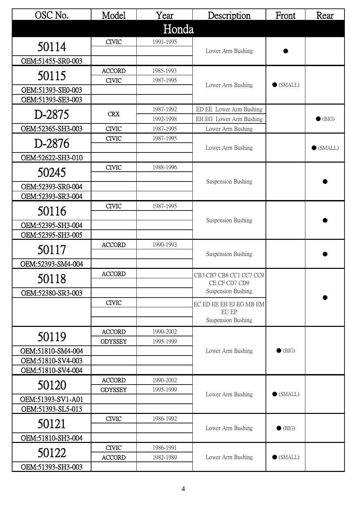| OSC No.                                | Model          | Year      | Description                 | Front             | Rear              |
|----------------------------------------|----------------|-----------|-----------------------------|-------------------|-------------------|
|                                        |                | Honda     |                             |                   |                   |
|                                        | <b>CIVIC</b>   | 1991-1995 |                             |                   |                   |
| 50114                                  |                |           | Lower Arm Bushing           |                   |                   |
| OEM:51455-SR0-003                      |                |           |                             |                   |                   |
| 50115                                  | <b>ACCORD</b>  | 1985-1993 |                             |                   |                   |
|                                        | <b>CIVIC</b>   | 1987-1995 | Lower Arm Bushing           | $\bullet$ (SMALL) |                   |
| OEM:51393-SE0-003<br>OEM:51393-SE3-003 |                |           |                             |                   |                   |
|                                        |                | 1987-1992 | ED EE Lower Arm Bushing     |                   |                   |
| D-2875                                 | <b>CRX</b>     | 1992-1998 | EH EG Lower Arm Bushing     |                   | $\bullet$ (BIG)   |
| OEM:52365-SH3-003                      | <b>CIVIC</b>   | 1987-1995 | Lower Arm Bushing           |                   |                   |
| D-2876                                 | <b>CIVIC</b>   | 1987-1995 |                             |                   |                   |
|                                        |                |           | Lower Arm Bushing           |                   | $\bullet$ (SMALL) |
| OEM:52622-SH3-010                      |                |           |                             |                   |                   |
| 50245                                  | <b>CIVIC</b>   | 1988-1996 |                             |                   |                   |
| OEM:52393-SR0-004                      |                |           | Suspension Bushing          |                   |                   |
| OEM:52393-SR3-004                      |                |           |                             |                   |                   |
|                                        | <b>CIVIC</b>   | 1987-1995 |                             |                   |                   |
| 50116                                  |                |           | Suspension Bushing          |                   |                   |
| OEM:52395-SH3-004                      |                |           |                             |                   |                   |
| OEM:52395-SH3-005                      |                |           |                             |                   |                   |
| 50117                                  | <b>ACCORD</b>  | 1990-1993 | Suspension Bushing          |                   |                   |
| OEM:52393-SM4-004                      |                |           |                             |                   |                   |
|                                        | <b>ACCORD</b>  |           | CB3 CB7 CB8 CC1 CC7 CC9     |                   |                   |
| 50118                                  |                |           | CE CF CD7 CD9               |                   |                   |
| OEM:52380-SR3-003                      |                |           | Suspension Bushing          |                   |                   |
|                                        | <b>CIVIC</b>   |           | EC ED EE EH EJ EG MB EM     |                   |                   |
|                                        |                |           | EU EP<br>Suspension Bushing |                   |                   |
|                                        | <b>ACCORD</b>  | 1990-2002 |                             |                   |                   |
| 50119                                  | <b>ODYSSEY</b> | 1995-1999 |                             |                   |                   |
| OEM:51810-SM4-004                      |                |           | Lower Arm Bushing           | $\bullet$ (BIG)   |                   |
| OEM:51810-SV4-003                      |                |           |                             |                   |                   |
| OEM:51810-SV4-004                      |                |           |                             |                   |                   |
| 50120                                  | <b>ACCORD</b>  | 1990-2002 |                             |                   |                   |
| OEM:51393-SV1-A01                      | <b>ODYSSEY</b> | 1995-1999 | Lower Arm Bushing           | $\bullet$ (SMALL) |                   |
| OEM:51393-SL5-013                      |                |           |                             |                   |                   |
|                                        | <b>CIVIC</b>   | 1986-1992 |                             |                   |                   |
| 50121                                  |                |           | Lower Arm Bushing           | $\bullet$ (BIG)   |                   |
| OEM:51810-SH3-004                      |                |           |                             |                   |                   |
| 50122                                  | <b>CIVIC</b>   | 1986-1991 |                             |                   |                   |
|                                        | <b>ACCORD</b>  | 1982-1989 | Lower Arm Bushing           | $\bullet$ (SMALL) |                   |
| OEM:51393-SH3-003                      |                |           |                             |                   |                   |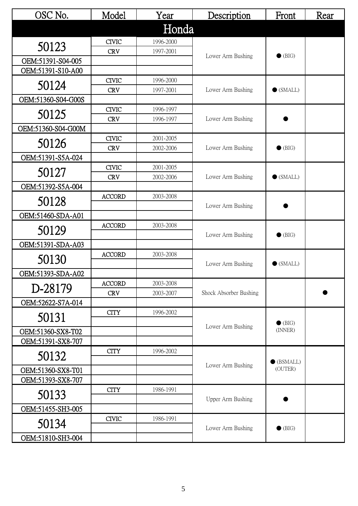| OSC No.            | Model         | Year      | Description            | Front             | Rear |
|--------------------|---------------|-----------|------------------------|-------------------|------|
|                    |               | Honda     |                        |                   |      |
| 50123              | <b>CIVIC</b>  | 1996-2000 |                        |                   |      |
|                    | <b>CRV</b>    | 1997-2001 | Lower Arm Bushing      | $\bullet$ (BIG)   |      |
| OEM:51391-S04-005  |               |           |                        |                   |      |
| OEM:51391-S10-A00  |               |           |                        |                   |      |
| 50124              | <b>CIVIC</b>  | 1996-2000 |                        |                   |      |
|                    | <b>CRV</b>    | 1997-2001 | Lower Arm Bushing      | $\bullet$ (SMALL) |      |
| OEM:51360-S04-G00S | <b>CIVIC</b>  | 1996-1997 |                        |                   |      |
| 50125              | <b>CRV</b>    | 1996-1997 | Lower Arm Bushing      |                   |      |
| OEM:51360-S04-G00M |               |           |                        |                   |      |
|                    | <b>CIVIC</b>  | 2001-2005 |                        |                   |      |
| 50126              | <b>CRV</b>    | 2002-2006 | Lower Arm Bushing      | $\bullet$ (BIG)   |      |
| OEM:51391-S5A-024  |               |           |                        |                   |      |
|                    | <b>CIVIC</b>  | 2001-2005 |                        |                   |      |
| 50127              | <b>CRV</b>    | 2002-2006 | Lower Arm Bushing      | $\bullet$ (SMALL) |      |
| OEM:51392-S5A-004  |               |           |                        |                   |      |
| 50128              | <b>ACCORD</b> | 2003-2008 |                        |                   |      |
|                    |               |           | Lower Arm Bushing      |                   |      |
| OEM:51460-SDA-A01  |               |           |                        |                   |      |
| 50129              | <b>ACCORD</b> | 2003-2008 | Lower Arm Bushing      | $\bullet$ (BIG)   |      |
| OEM:51391-SDA-A03  |               |           |                        |                   |      |
|                    | <b>ACCORD</b> | 2003-2008 |                        |                   |      |
| 50130              |               |           | Lower Arm Bushing      | $\bullet$ (SMALL) |      |
| OEM:51393-SDA-A02  |               |           |                        |                   |      |
|                    | <b>ACCORD</b> | 2003-2008 |                        |                   |      |
| D-28179            | <b>CRV</b>    | 2003-2007 | Shock Absorber Bushing |                   |      |
| OEM:52622-S7A-014  |               |           |                        |                   |      |
| 50131              | <b>CITY</b>   | 1996-2002 |                        | $\bullet$ (BIG)   |      |
| OEM:51360-SX8-T02  |               |           | Lower Arm Bushing      | (INNER)           |      |
| OEM:51391-SX8-707  |               |           |                        |                   |      |
| 50132              | <b>CITY</b>   | 1996-2002 |                        | (BSMALL)          |      |
| OEM:51360-SX8-T01  |               |           | Lower Arm Bushing      | (OUTER)           |      |
| OEM:51393-SX8-707  |               |           |                        |                   |      |
|                    | <b>CITY</b>   | 1986-1991 |                        |                   |      |
| 50133              |               |           | Upper Arm Bushing      |                   |      |
| OEM:51455-SH3-005  |               |           |                        |                   |      |
| 50134              | <b>CIVIC</b>  | 1986-1991 | Lower Arm Bushing      | $\bullet$ (BIG)   |      |
| OEM:51810-SH3-004  |               |           |                        |                   |      |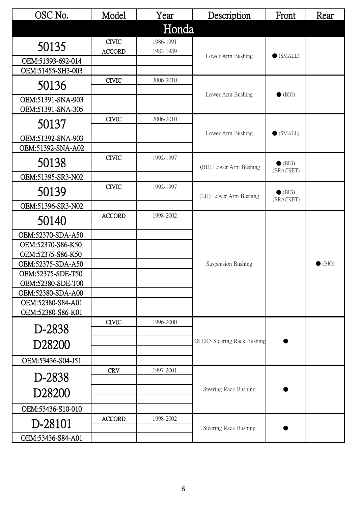| OSC No.            | Model         | Year      | Description                  | Front                        | Rear            |
|--------------------|---------------|-----------|------------------------------|------------------------------|-----------------|
|                    |               | Honda     |                              |                              |                 |
| 50135              | <b>CIVIC</b>  | 1986-1991 |                              |                              |                 |
|                    | <b>ACCORD</b> | 1982-1989 | Lower Arm Bushing            | $\bullet$ (SMALL)            |                 |
| OEM:51393-692-014  |               |           |                              |                              |                 |
| OEM:51455-SH3-003  |               |           |                              |                              |                 |
| 50136              | <b>CIVIC</b>  | 2006-2010 |                              |                              |                 |
| OEM:51391-SNA-903  |               |           | Lower Arm Bushing            | $\bullet$ (BIG)              |                 |
| OEM:51391-SNA-305  |               |           |                              |                              |                 |
| 50137              | <b>CIVIC</b>  | 2006-2010 |                              |                              |                 |
| OEM:51392-SNA-903  |               |           | Lower Arm Bushing            | $\bullet$ (SMALL)            |                 |
| OEM:51392-SNA-A02  |               |           |                              |                              |                 |
| 50138              | <b>CIVIC</b>  | 1992-1997 |                              | $\bullet$ (BIG)              |                 |
| OEM:51395-SR3-N02  |               |           | (RH) Lower Arm Bushing       | (BRACKET)                    |                 |
|                    | <b>CIVIC</b>  | 1992-1997 |                              |                              |                 |
| 50139              |               |           | (LH) Lower Arm Bushing       | $\bullet$ (BIG)<br>(BRACKET) |                 |
| OEM:51396-SR3-N02  |               |           |                              |                              |                 |
| 50140              | <b>ACCORD</b> | 1998-2002 |                              |                              |                 |
| OEM:52370-SDA-A50  |               |           |                              |                              |                 |
| OEM:52370-S86-K50  |               |           |                              |                              |                 |
| OEM:52375-S86-K50  |               |           |                              |                              |                 |
| OEM:52375-SDA-A50  |               |           | Suspension Bushing           |                              | $\bullet$ (BIG) |
| OEM:52375-SDE-T50  |               |           |                              |                              |                 |
| OEM:52380-SDE-T00  |               |           |                              |                              |                 |
| OEM:52380-SDA-A00  |               |           |                              |                              |                 |
| OEM:52380-S84-A01  |               |           |                              |                              |                 |
| OEM:52380-S86-K01  | <b>CIVIC</b>  | 1996-2000 |                              |                              |                 |
| D-2838             |               |           |                              |                              |                 |
| D28200             |               |           | K8 EK3 Steering Rack Bushing |                              |                 |
| OEM:53436-S04-J51  |               |           |                              |                              |                 |
|                    | <b>CRV</b>    | 1997-2001 |                              |                              |                 |
| D-2838             |               |           |                              |                              |                 |
| D <sub>28200</sub> |               |           | Steering Rack Bushing        |                              |                 |
| OEM:53436-S10-010  |               |           |                              |                              |                 |
| D-28101            | <b>ACCORD</b> | 1998-2002 | Steering Rack Bushing        |                              |                 |
| OEM:53436-S84-A01  |               |           |                              |                              |                 |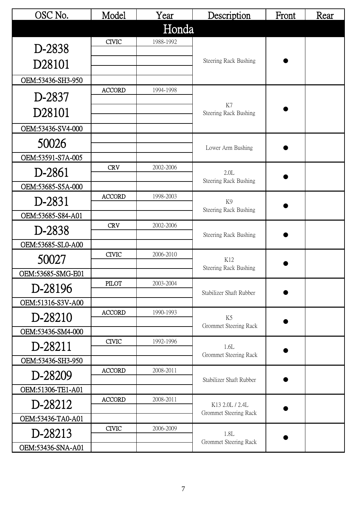| OSC No.           | Model         | Year      | Description                  | Front | Rear |
|-------------------|---------------|-----------|------------------------------|-------|------|
|                   |               | Honda     |                              |       |      |
| D-2838            | <b>CIVIC</b>  | 1988-1992 |                              |       |      |
|                   |               |           | Steering Rack Bushing        |       |      |
| D28101            |               |           |                              |       |      |
| OEM:53436-SH3-950 | <b>ACCORD</b> | 1994-1998 |                              |       |      |
| D-2837            |               |           |                              |       |      |
| D28101            |               |           | K7<br>Steering Rack Bushing  |       |      |
| OEM:53436-SV4-000 |               |           |                              |       |      |
| 50026             |               |           |                              |       |      |
| OEM:53591-S7A-005 |               |           | Lower Arm Bushing            |       |      |
| D-2861            | <b>CRV</b>    | 2002-2006 | 2.0L                         |       |      |
| OEM:53685-S5A-000 |               |           | <b>Steering Rack Bushing</b> |       |      |
| D-2831            | <b>ACCORD</b> | 1998-2003 | K <sub>9</sub>               |       |      |
| OEM:53685-S84-A01 |               |           | <b>Steering Rack Bushing</b> |       |      |
|                   | <b>CRV</b>    | 2002-2006 |                              |       |      |
| D-2838            |               |           | Steering Rack Bushing        |       |      |
| OEM:53685-SL0-A00 | <b>CIVIC</b>  | 2006-2010 |                              |       |      |
| 50027             |               |           | K12<br>Steering Rack Bushing |       |      |
| OEM:53685-SMG-E01 |               |           |                              |       |      |
| D-28196           | <b>PILOT</b>  | 2003-2004 | Stabilizer Shaft Rubber      |       |      |
| OEM:51316-S3V-A00 |               |           |                              |       |      |
| D-28210           | <b>ACCORD</b> | 1990-1993 | K5                           |       |      |
| OEM:53436-SM4-000 |               |           | Grommet Steering Rack        |       |      |
| D-28211           | <b>CIVIC</b>  | 1992-1996 | 1.6L                         |       |      |
| OEM:53436-SH3-950 |               |           | Grommet Steering Rack        |       |      |
| D-28209           | <b>ACCORD</b> | 2008-2011 |                              |       |      |
| OEM:51306-TE1-A01 |               |           | Stabilizer Shaft Rubber      |       |      |
| D-28212           | <b>ACCORD</b> | 2008-2011 | K13 2.0L / 2.4L              |       |      |
| OEM:53436-TA0-A01 |               |           | Grommet Steering Rack        |       |      |
| D-28213           | <b>CIVIC</b>  | 2006-2009 | 1.8L                         |       |      |
| OEM:53436-SNA-A01 |               |           | Grommet Steering Rack        |       |      |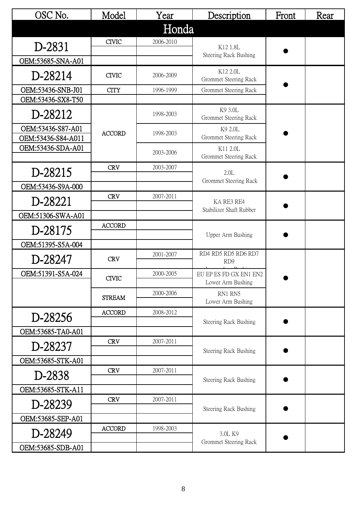| OSC No.                                 | Model         | Year      | Description                                 | Front | Rear |
|-----------------------------------------|---------------|-----------|---------------------------------------------|-------|------|
|                                         |               | Honda     |                                             |       |      |
| D-2831                                  | <b>CIVIC</b>  | 2006-2010 | K12 1.8L                                    |       |      |
| OEM:53685-SNA-A01                       |               |           | Steering Rack Bushing                       |       |      |
| D-28214                                 | <b>CIVIC</b>  | 2006-2009 | K12 2.0L<br>Grommet Steering Rack           |       |      |
| OEM:53436-SNB-J01                       | <b>CITY</b>   | 1996-1999 | <b>Grommet Steering Rack</b>                |       |      |
| OEM:53436-SX8-T50                       |               |           |                                             |       |      |
| D-28212                                 |               | 1998-2003 | K9 3.0L<br>Grommet Steering Rack            |       |      |
| OEM:53436-S87-A01<br>OEM:53436-S84-A011 | <b>ACCORD</b> | 1998-2003 | K9 2.0L<br>Grommet Steering Rack            |       |      |
| OEM:53436-SDA-A01                       |               | 2003-2006 | K11 2.0L<br>Grommet Steering Rack           |       |      |
| D-28215                                 | <b>CRV</b>    | 2003-2007 | 2.0L                                        |       |      |
|                                         |               |           | Grommet Steering Rack                       |       |      |
| OEM:53436-S9A-000                       | <b>CRV</b>    | 2007-2011 |                                             |       |      |
| D-28221                                 |               |           | KA RE3 RE4                                  |       |      |
| OEM:51306-SWA-A01                       |               |           | Stabilizer Shaft Rubber                     |       |      |
| D-28175                                 | <b>ACCORD</b> |           | Upper Arm Bushing                           |       |      |
| OEM:51395-S5A-004                       |               |           |                                             |       |      |
| D-28247                                 | <b>CRV</b>    | 2001-2007 | RD4 RD5 RD5 RD6 RD7<br>RD <sub>9</sub>      |       |      |
| OEM:51391-S5A-024                       | <b>CIVIC</b>  | 2000-2005 | EU EP ES FD GX EN1 EN2<br>Lower Arm Bushing |       |      |
|                                         | <b>STREAM</b> | 2000-2006 | RN1 RN5<br>Lower Arm Bushing                |       |      |
|                                         | <b>ACCORD</b> | 2008-2012 |                                             |       |      |
| D-28256                                 |               |           | Steering Rack Bushing                       |       |      |
| OEM:53685-TA0-A01                       |               |           |                                             |       |      |
| D-28237                                 | <b>CRV</b>    | 2007-2011 | Steering Rack Bushing                       |       |      |
| OEM:53685-STK-A01                       |               |           |                                             |       |      |
| D-2838                                  | <b>CRV</b>    | 2007-2011 |                                             |       |      |
|                                         |               |           | Steering Rack Bushing                       |       |      |
| OEM:53685-STK-A11                       | <b>CRV</b>    | 2007-2011 |                                             |       |      |
| D-28239                                 |               |           | Steering Rack Bushing                       |       |      |
| OEM:53685-SEP-A01                       |               |           |                                             |       |      |
| D-28249                                 | <b>ACCORD</b> | 1998-2003 | 3.0L K9<br>Grommet Steering Rack            |       |      |
| OEM:53685-SDB-A01                       |               |           |                                             |       |      |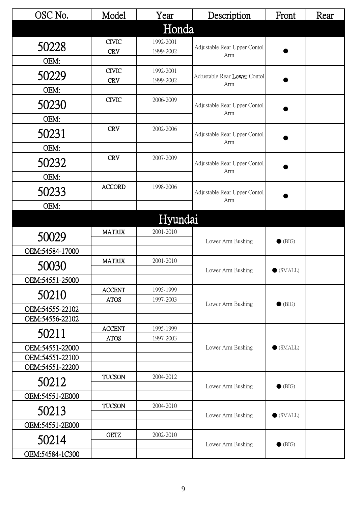| OSC No.         | Model         | Year      | Description                         | Front             | Rear |
|-----------------|---------------|-----------|-------------------------------------|-------------------|------|
|                 |               | Honda     |                                     |                   |      |
| 50228           | <b>CIVIC</b>  | 1992-2001 |                                     |                   |      |
|                 | <b>CRV</b>    | 1999-2002 | Adjustable Rear Upper Contol<br>Arm |                   |      |
| OEM:            |               |           |                                     |                   |      |
| 50229           | <b>CIVIC</b>  | 1992-2001 | Adjustable Rear Lower Contol        |                   |      |
|                 | <b>CRV</b>    | 1999-2002 | Arm                                 |                   |      |
| OEM:            | <b>CIVIC</b>  | 2006-2009 |                                     |                   |      |
| 50230           |               |           | Adjustable Rear Upper Contol        |                   |      |
| OEM:            |               |           | Arm                                 |                   |      |
| 50231           | <b>CRV</b>    | 2002-2006 | Adjustable Rear Upper Contol        |                   |      |
|                 |               |           | Arm                                 |                   |      |
| OEM:            |               |           |                                     |                   |      |
| 50232           | <b>CRV</b>    | 2007-2009 | Adjustable Rear Upper Contol        |                   |      |
| OEM:            |               |           | Arm                                 |                   |      |
|                 | <b>ACCORD</b> | 1998-2006 |                                     |                   |      |
| 50233           |               |           | Adjustable Rear Upper Contol<br>Arm |                   |      |
| OEM:            |               |           |                                     |                   |      |
|                 |               | Hyundai   |                                     |                   |      |
| 50029           | <b>MATRIX</b> | 2001-2010 |                                     |                   |      |
| OEM:54584-17000 |               |           | Lower Arm Bushing                   | $\bullet$ (BIG)   |      |
|                 | <b>MATRIX</b> | 2001-2010 |                                     |                   |      |
| 50030           |               |           | Lower Arm Bushing                   | $\bullet$ (SMALL) |      |
| OEM:54551-25000 |               |           |                                     |                   |      |
| 50210           | <b>ACCENT</b> | 1995-1999 |                                     |                   |      |
| OEM:54555-22102 | <b>ATOS</b>   | 1997-2003 | Lower Arm Bushing                   | $\bullet$ (BIG)   |      |
| OEM:54556-22102 |               |           |                                     |                   |      |
|                 | <b>ACCENT</b> | 1995-1999 |                                     |                   |      |
| 50211           | <b>ATOS</b>   | 1997-2003 |                                     |                   |      |
| OEM:54551-22000 |               |           | Lower Arm Bushing                   | $\bullet$ (SMALL) |      |
| OEM:54551-22100 |               |           |                                     |                   |      |
| OEM:54551-22200 |               |           |                                     |                   |      |
| 50212           | <b>TUCSON</b> | 2004-2012 | Lower Arm Bushing                   | $\bullet$ (BIG)   |      |
| OEM:54551-2E000 |               |           |                                     |                   |      |
| 50213           | <b>TUCSON</b> | 2004-2010 |                                     |                   |      |
| OEM:54551-2E000 |               |           | Lower Arm Bushing                   | $\bullet$ (SMALL) |      |
|                 | <b>GETZ</b>   | 2002-2010 |                                     |                   |      |
| 50214           |               |           | Lower Arm Bushing                   | $\bullet$ (BIG)   |      |
| OEM:54584-1C300 |               |           |                                     |                   |      |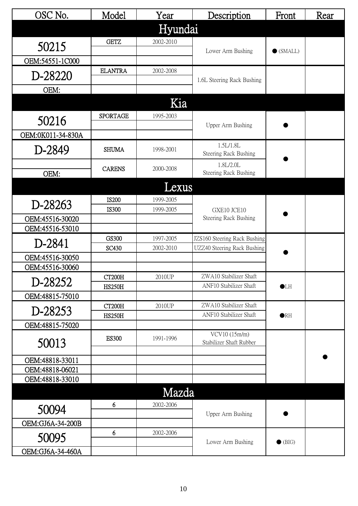| OSC No.           | Model                        | Year                   | Description                               | Front             | Rear |
|-------------------|------------------------------|------------------------|-------------------------------------------|-------------------|------|
|                   |                              | Hyundai                |                                           |                   |      |
| 50215             | <b>GETZ</b>                  | 2002-2010              |                                           |                   |      |
|                   |                              |                        | Lower Arm Bushing                         | $\bullet$ (SMALL) |      |
| OEM:54551-1C000   |                              |                        |                                           |                   |      |
| D-28220           | <b>ELANTRA</b>               | 2002-2008              | 1.6L Steering Rack Bushing                |                   |      |
| OEM:              |                              |                        |                                           |                   |      |
|                   |                              | Kia                    |                                           |                   |      |
|                   |                              | 1995-2003              |                                           |                   |      |
| 50216             | <b>SPORTAGE</b>              |                        | Upper Arm Bushing                         |                   |      |
| OEM:0K011-34-830A |                              |                        |                                           |                   |      |
| D-2849            | <b>SHUMA</b>                 | 1998-2001              | 1.5L/1.8L<br>Steering Rack Bushing        |                   |      |
| OEM:              | <b>CARENS</b>                | 2000-2008              | 1.8L/2.0L<br><b>Steering Rack Bushing</b> |                   |      |
|                   |                              | Lexus                  |                                           |                   |      |
|                   |                              |                        |                                           |                   |      |
| D-28263           | <b>IS200</b><br><b>IS300</b> | 1999-2005<br>1999-2005 | GXE10 JCE10                               |                   |      |
| OEM:45516-30020   |                              |                        | Steering Rack Bushing                     |                   |      |
| OEM:45516-53010   |                              |                        |                                           |                   |      |
|                   | <b>GS300</b>                 | 1997-2005              | JZS160 Steering Rack Bushing              |                   |      |
| D-2841            | SC430                        | 2002-2010              | UZZ40 Steering Rack Bushing               |                   |      |
| OEM:45516-30050   |                              |                        |                                           |                   |      |
| OEM:45516-30060   |                              |                        |                                           |                   |      |
| D-28252           | <b>CT200H</b>                | 2010UP                 | ZWA10 Stabilizer Shaft                    |                   |      |
| OEM:48815-75010   | <b>HS250H</b>                |                        | ANF10 Stabilizer Shaft                    | $\bullet$ LH      |      |
|                   | <b>CT200H</b>                | 2010UP                 | ZWA10 Stabilizer Shaft                    |                   |      |
| D-28253           | <b>HS250H</b>                |                        | ANF10 Stabilizer Shaft                    | $\bullet$ RH      |      |
| OEM:48815-75020   |                              |                        |                                           |                   |      |
| 50013             | <b>ES300</b>                 | 1991-1996              | VCV10 (15m/m)<br>Stabilizer Shaft Rubber  |                   |      |
| OEM:48818-33011   |                              |                        |                                           |                   |      |
| OEM:48818-06021   |                              |                        |                                           |                   |      |
| OEM:48818-33010   |                              |                        |                                           |                   |      |
|                   |                              | Mazda                  |                                           |                   |      |
|                   | 6                            | 2002-2006              |                                           |                   |      |
| 50094             |                              |                        | Upper Arm Bushing                         |                   |      |
| OEM:GJ6A-34-200B  |                              |                        |                                           |                   |      |
| 50095             | 6                            | 2002-2006              | Lower Arm Bushing                         | $\bullet$ (BIG)   |      |
| OEM:GJ6A-34-460A  |                              |                        |                                           |                   |      |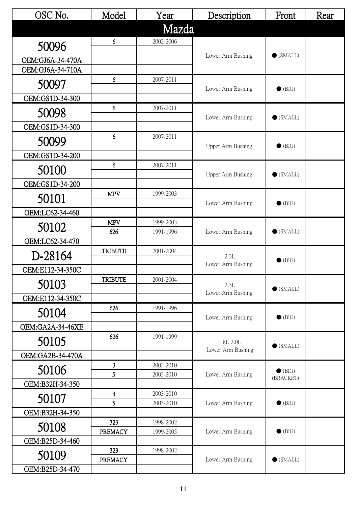| OSC No.          | Model             | Year                   | Description                    | Front             | Rear |
|------------------|-------------------|------------------------|--------------------------------|-------------------|------|
|                  |                   | Mazda                  |                                |                   |      |
|                  | 6                 | 2002-2006              |                                |                   |      |
| 50096            |                   |                        | Lower Arm Bushing              | $\bullet$ (SMALL) |      |
| OEM:GJ6A-34-470A |                   |                        |                                |                   |      |
| OEM:GJ6A-34-710A | 6                 |                        |                                |                   |      |
| 50097            |                   | 2007-2011              | Lower Arm Bushing              | $\bullet$ (BIG)   |      |
| OEM:GS1D-34-300  |                   |                        |                                |                   |      |
| 50098            | 6                 | 2007-2011              |                                |                   |      |
| OEM:GS1D-34-300  |                   |                        | Lower Arm Bushing              | $\bullet$ (SMALL) |      |
|                  | 6                 | 2007-2011              |                                |                   |      |
| 50099            |                   |                        | Upper Arm Bushing              | $\bullet$ (BIG)   |      |
| OEM:GS1D-34-200  |                   |                        |                                |                   |      |
| 50100            | 6                 | 2007-2011              |                                | $\bullet$ (SMALL) |      |
| OEM:GS1D-34-200  |                   |                        | Upper Arm Bushing              |                   |      |
|                  | <b>MPV</b>        | 1999-2003              |                                |                   |      |
| 50101            |                   |                        | Lower Arm Bushing              | $\bullet$ (BIG)   |      |
| OEM:LC62-34-460  |                   |                        |                                |                   |      |
| 50102            | <b>MPV</b><br>626 | 1999-2003<br>1991-1996 | Lower Arm Bushing              | $\bullet$ (SMALL) |      |
| OEM:LC62-34-470  |                   |                        |                                |                   |      |
| D-28164          | <b>TRIBUTE</b>    | 2001-2004              | 2.3L                           |                   |      |
|                  |                   |                        | Lower Arm Bushing              | $\bullet$ (BIG)   |      |
| OEM:E112-34-350C | <b>TRIBUTE</b>    | 2001-2004              |                                |                   |      |
| 50103            |                   |                        | 2.3L                           | $\bullet$ (SMALL) |      |
| OEM:E112-34-350C |                   |                        | Lower Arm Bushing              |                   |      |
| 50104            | 626               | 1991-1996              |                                |                   |      |
| OEM:GA2A-34-46XE |                   |                        | Lower Arm Bushing              | $\bullet$ (BIG)   |      |
|                  | 626               | 1991-1999              |                                |                   |      |
| 50105            |                   |                        | 1.8L 2.0L<br>Lower Arm Bushing | $\bullet$ (SMALL) |      |
| OEM:GA2B-34-470A |                   |                        |                                |                   |      |
| 50106            | 3                 | 2003-2010              |                                | $\bullet$ (BIG)   |      |
| OEM:B32H-34-350  | 5                 | 2003-2010              | Lower Arm Bushing              | (BRACKET)         |      |
|                  | 3                 | 2003-2010              |                                |                   |      |
| 50107            | $\overline{5}$    | 2003-2010              | Lower Arm Bushing              | $\bullet$ (BIG)   |      |
| OEM:B32H-34-350  |                   |                        |                                |                   |      |
| 50108            | 323               | 1998-2002              | Lower Arm Bushing              | $\bullet$ (BIG)   |      |
| OEM:B25D-34-460  | <b>PREMACY</b>    | 1999-2005              |                                |                   |      |
|                  | 323               | 1998-2002              |                                |                   |      |
| 50109            | <b>PREMACY</b>    |                        | Lower Arm Bushing              | $\bullet$ (SMALL) |      |
| OEM:B25D-34-470  |                   |                        |                                |                   |      |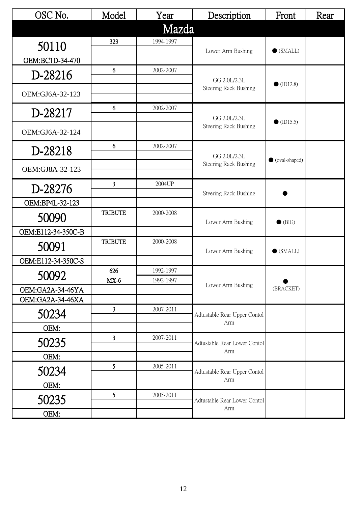| OSC No.            | Model          | Year      | Description                                                         | Front              | Rear |
|--------------------|----------------|-----------|---------------------------------------------------------------------|--------------------|------|
|                    |                | Mazda     |                                                                     |                    |      |
| 50110              | 323            | 1994-1997 |                                                                     |                    |      |
| OEM:BC1D-34-470    |                |           | Lower Arm Bushing                                                   | $\bullet$ (SMALL)  |      |
|                    | 6              | 2002-2007 |                                                                     |                    |      |
| D-28216            |                |           | GG 2.0L/2.3L                                                        | $\bullet$ (ID12.8) |      |
| OEM:GJ6A-32-123    |                |           | Steering Rack Bushing                                               |                    |      |
| D-28217            | 6              | 2002-2007 |                                                                     |                    |      |
|                    |                |           | GG 2.0L/2.3L<br><b>Steering Rack Bushing</b>                        | $\bullet$ (ID15.5) |      |
| OEM:GJ6A-32-124    |                |           |                                                                     |                    |      |
| D-28218            | 6              | 2002-2007 |                                                                     |                    |      |
|                    |                |           | GG 2.0L/2.3L                                                        | ● (oval-shaped)    |      |
| OEM:GJ8A-32-123    |                |           | Steering Rack Bushing<br>Steering Rack Bushing<br>Lower Arm Bushing |                    |      |
| D-28276            | 3              | 2004UP    |                                                                     |                    |      |
| OEM:BP4L-32-123    |                |           |                                                                     |                    |      |
| 50090              | <b>TRIBUTE</b> | 2000-2008 |                                                                     | $\bullet$ (BIG)    |      |
|                    |                |           |                                                                     |                    |      |
| OEM:E112-34-350C-B | <b>TRIBUTE</b> | 2000-2008 |                                                                     |                    |      |
| 50091              |                |           | Lower Arm Bushing                                                   | $\bullet$ (SMALL)  |      |
| OEM:E112-34-350C-S |                |           |                                                                     |                    |      |
| 50092              | 626            | 1992-1997 |                                                                     |                    |      |
| OEM:GA2A-34-46YA   | $MX-6$         | 1992-1997 | Lower Arm Bushing                                                   | (BRACKET)          |      |
| OEM:GA2A-34-46XA   |                |           |                                                                     |                    |      |
| 50234              | $\overline{3}$ | 2007-2011 | Adtustable Rear Upper Contol                                        |                    |      |
| OEM:               |                |           | Arm                                                                 |                    |      |
|                    | 3              | 2007-2011 |                                                                     |                    |      |
| 50235              |                |           | Adtustable Rear Lower Contol<br>Arm                                 |                    |      |
| OEM:               | 5 <sup>5</sup> |           |                                                                     |                    |      |
| 50234              |                | 2005-2011 | Adtustable Rear Upper Contol                                        |                    |      |
| OEM:               |                |           | Arm                                                                 |                    |      |
| 50235              | 5              | 2005-2011 | Adtustable Rear Lower Contol                                        |                    |      |
| OEM:               |                |           | Arm                                                                 |                    |      |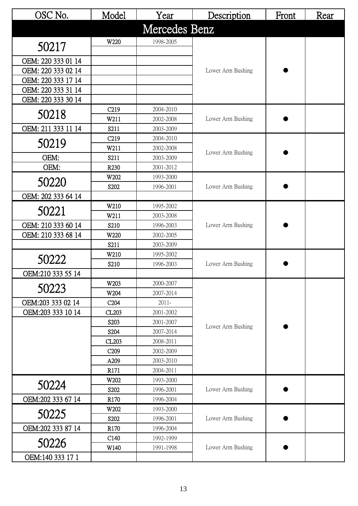| OSC No.            | Model            | Year                   | Description       | Front | Rear |
|--------------------|------------------|------------------------|-------------------|-------|------|
|                    |                  | Mercedes Benz          |                   |       |      |
| 50217              | W220             | 1998-2005              |                   |       |      |
| OEM: 220 333 01 14 |                  |                        |                   |       |      |
| OEM: 220 333 02 14 |                  |                        | Lower Arm Bushing |       |      |
| OEM: 220 333 17 14 |                  |                        |                   |       |      |
| OEM: 220 333 31 14 |                  |                        |                   |       |      |
| OEM: 220 333 30 14 |                  |                        |                   |       |      |
| 50218              | C <sub>219</sub> | 2004-2010              |                   |       |      |
|                    | W211             | 2002-2008              | Lower Arm Bushing |       |      |
| OEM: 211 333 11 14 | S211             | 2003-2009              |                   |       |      |
| 50219              | C <sub>219</sub> | 2004-2010              |                   |       |      |
|                    | W211             | 2002-2008              | Lower Arm Bushing |       |      |
| OEM:               | S211             | 2003-2009              |                   |       |      |
| OEM:               | R <sub>230</sub> | 2001-2012              |                   |       |      |
| 50220              | W202             | 1993-2000              |                   |       |      |
|                    | S202             | 1996-2001              | Lower Arm Bushing |       |      |
| OEM: 202 333 64 14 |                  |                        |                   |       |      |
| 50221              | W210             | 1995-2002              |                   |       |      |
|                    | W211             | 2003-2008              |                   |       |      |
| OEM: 210 333 60 14 | S210             | 1996-2003              | Lower Arm Bushing |       |      |
| OEM: 210 333 68 14 | W220             | 2002-2005              |                   |       |      |
|                    | S211             | 2003-2009              |                   |       |      |
| 50222              | W210<br>S210     | 1995-2002<br>1996-2003 | Lower Arm Bushing |       |      |
| OEM:210 333 55 14  |                  |                        |                   |       |      |
|                    | W203             | 2000-2007              |                   |       |      |
| 50223              | W204             | 2007-2014              |                   |       |      |
| OEM:203 333 02 14  | C <sub>204</sub> | $2011 -$               |                   |       |      |
| OEM:203 333 10 14  | CL203            | 2001-2002              |                   |       |      |
|                    | S203             | 2001-2007              |                   |       |      |
|                    | S204             | 2007-2014              | Lower Arm Bushing |       |      |
|                    | CL203            | 2008-2011              |                   |       |      |
|                    | C <sub>209</sub> | 2002-2009              |                   |       |      |
|                    | A209             | 2003-2010              |                   |       |      |
|                    | R171             | 2004-2011              |                   |       |      |
|                    | W202             | 1993-2000              |                   |       |      |
| 50224              | S202             | 1996-2001              | Lower Arm Bushing |       |      |
| OEM:202 333 67 14  | R <sub>170</sub> | 1996-2004              |                   |       |      |
|                    | W202             | 1993-2000              |                   |       |      |
| 50225              | S202             | 1996-2001              | Lower Arm Bushing |       |      |
| OEM:202 333 87 14  | R <sub>170</sub> | 1996-2004              |                   |       |      |
| 50226              | C <sub>140</sub> | 1992-1999              |                   |       |      |
|                    | W140             | 1991-1998              | Lower Arm Bushing |       |      |
| OEM:140 333 17 1   |                  |                        |                   |       |      |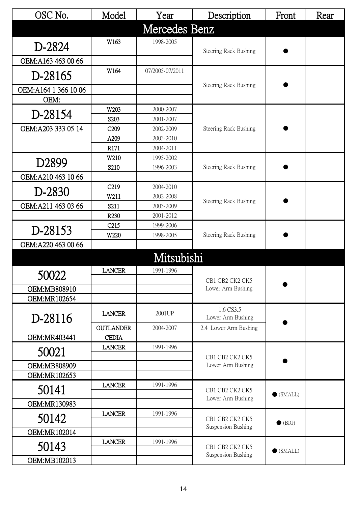| OSC No.               | Model                                | Year                   | Description                                             | Front             | Rear |
|-----------------------|--------------------------------------|------------------------|---------------------------------------------------------|-------------------|------|
|                       |                                      | Mercedes Benz          |                                                         |                   |      |
| D-2824                | W163                                 | 1998-2005              | Steering Rack Bushing                                   |                   |      |
| OEM:A163 463 00 66    |                                      |                        |                                                         |                   |      |
| D-28165               | W164                                 | 07/2005-07/2011        |                                                         |                   |      |
| OEM: A164 1 366 10 06 |                                      |                        | <b>Steering Rack Bushing</b>                            |                   |      |
| OEM:                  |                                      |                        |                                                         |                   |      |
| D-28154               | W203                                 | 2000-2007              |                                                         |                   |      |
|                       | S <sub>203</sub>                     | 2001-2007              |                                                         |                   |      |
| OEM: A203 333 05 14   | C <sub>209</sub>                     | 2002-2009              | <b>Steering Rack Bushing</b>                            |                   |      |
|                       | A209                                 | 2003-2010              |                                                         |                   |      |
|                       | R171                                 | 2004-2011              |                                                         |                   |      |
| D2899                 | W210                                 | 1995-2002              |                                                         |                   |      |
|                       | S <sub>210</sub>                     | 1996-2003              | Steering Rack Bushing                                   |                   |      |
| OEM: A210 463 10 66   |                                      |                        |                                                         |                   |      |
| D-2830                | C <sub>219</sub>                     | 2004-2010              |                                                         |                   |      |
|                       | W211                                 | 2002-2008              | Steering Rack Bushing                                   |                   |      |
| OEM:A211 463 03 66    | S211                                 | 2003-2009              |                                                         |                   |      |
|                       | R <sub>230</sub><br>C <sub>215</sub> | 2001-2012<br>1999-2006 |                                                         |                   |      |
| D-28153               | W220                                 | 1998-2005              | Steering Rack Bushing                                   |                   |      |
| OEM:A220 463 00 66    |                                      |                        |                                                         |                   |      |
|                       |                                      |                        |                                                         |                   |      |
|                       |                                      | Mitsubishi             |                                                         |                   |      |
| 50022                 | <b>LANCER</b>                        | 1991-1996              |                                                         |                   |      |
|                       |                                      |                        | CB1 CB2 CK2 CK5                                         |                   |      |
| OEM:MB808910          |                                      |                        |                                                         |                   |      |
| OEM:MR102654          |                                      |                        |                                                         |                   |      |
| D-28116               | <b>LANCER</b>                        | 2001UP                 | Lower Arm Bushing                                       |                   |      |
|                       | <b>OUTLANDER</b>                     | 2004-2007              | Lower Arm Bushing<br>1.6 CS3.5<br>2.4 Lower Arm Bushing |                   |      |
| OEM:MR403441          | <b>CEDIA</b>                         |                        |                                                         |                   |      |
| 50021                 | <b>LANCER</b>                        | 1991-1996              | CB1 CB2 CK2 CK5                                         |                   |      |
| OEM:MB808909          |                                      |                        | Lower Arm Bushing                                       |                   |      |
| OEM:MR102653          |                                      |                        |                                                         |                   |      |
| 50141                 | <b>LANCER</b>                        | 1991-1996              | CB1 CB2 CK2 CK5                                         | $\bullet$ (SMALL) |      |
| OEM:MR130983          |                                      |                        | Lower Arm Bushing                                       |                   |      |
| 50142                 | <b>LANCER</b>                        | 1991-1996              | CB1 CB2 CK2 CK5                                         |                   |      |
|                       |                                      |                        | Suspension Bushing                                      | $\bullet$ (BIG)   |      |
| OEM:MR102014          |                                      |                        |                                                         |                   |      |
| 50143                 | <b>LANCER</b>                        | 1991-1996              | CB1 CB2 CK2 CK5<br>Suspension Bushing                   | $\bullet$ (SMALL) |      |
| OEM:MB102013          |                                      |                        |                                                         |                   |      |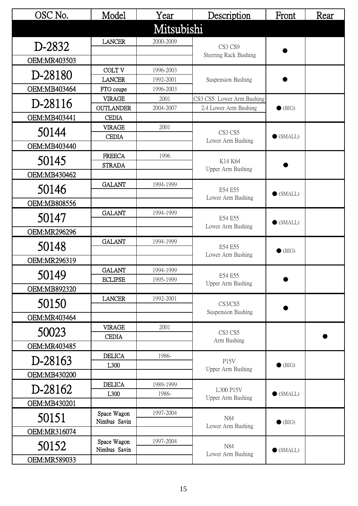| OSC No.      | Model                             | Year              | Description                                        | Front             | Rear |
|--------------|-----------------------------------|-------------------|----------------------------------------------------|-------------------|------|
|              |                                   | Mitsubishi        |                                                    |                   |      |
| D-2832       | <b>LANCER</b>                     | 2000-2009         | CS3 CS9                                            |                   |      |
|              |                                   |                   | <b>Steering Rack Bushing</b>                       |                   |      |
| OEM:MR403503 |                                   |                   |                                                    |                   |      |
| D-28180      | <b>COLT V</b>                     | 1996-2003         |                                                    |                   |      |
|              | <b>LANCER</b>                     | 1992-2001         | Suspension Bushing                                 |                   |      |
| OEM:MB403464 | FTO coupe                         | 1996-2003         |                                                    |                   |      |
| D-28116      | <b>VIRAGE</b><br><b>OUTLANDER</b> | 2001<br>2004-2007 | CS3 CS5 Lower Arm Bushing<br>2.4 Lower Arm Bushing | $\bullet$ (BIG)   |      |
| OEM:MB403441 | <b>CEDIA</b>                      |                   |                                                    |                   |      |
|              | <b>VIRAGE</b>                     | 2001              |                                                    |                   |      |
| 50144        | <b>CEDIA</b>                      |                   | CS3 CS5                                            | $\bullet$ (SMALL) |      |
| OEM:MB403440 |                                   |                   | Lower Arm Bushing                                  |                   |      |
|              | <b>FREECA</b>                     | 1996              |                                                    |                   |      |
| 50145        | <b>STRADA</b>                     |                   | K14 K64                                            |                   |      |
| OEM:MB430462 |                                   |                   | Upper Arm Bushing                                  |                   |      |
| 50146        | <b>GALANT</b>                     | 1994-1999         |                                                    |                   |      |
|              |                                   |                   | E54 E55<br>Lower Arm Bushing                       | $\bullet$ (SMALL) |      |
| OEM:MB808556 |                                   |                   |                                                    |                   |      |
| 50147        | <b>GALANT</b>                     | 1994-1999         | E54 E55                                            |                   |      |
|              |                                   |                   | Lower Arm Bushing                                  | $\bullet$ (SMALL) |      |
| OEM:MR296296 |                                   |                   |                                                    |                   |      |
| 50148        | <b>GALANT</b>                     | 1994-1999         | E54 E55                                            | $\bullet$ (BIG)   |      |
|              |                                   |                   | Lower Arm Bushing                                  |                   |      |
| OEM:MR296319 | <b>GALANT</b>                     | 1994-1999         |                                                    |                   |      |
| 50149        | <b>ECLIPSE</b>                    | 1995-1999         | E54 E55                                            |                   |      |
| OEM:MB892320 |                                   |                   | Upper Arm Bushing                                  |                   |      |
|              | <b>LANCER</b>                     | 1992-2001         |                                                    |                   |      |
| 50150        |                                   |                   | CS3/CS5                                            |                   |      |
| OEM:MR403464 |                                   |                   | Suspension Bushing                                 |                   |      |
|              | <b>VIRAGE</b>                     | 2001              |                                                    |                   |      |
| 50023        | <b>CEDIA</b>                      |                   | CS3 CS5<br>Arm Bushing                             |                   |      |
| OEM:MR403485 |                                   |                   |                                                    |                   |      |
| D-28163      | <b>DELICA</b>                     | 1986-             | <b>P15V</b>                                        |                   |      |
|              | L300                              |                   | Upper Arm Bushing                                  | $\bullet$ (BIG)   |      |
| OEM:MB430200 |                                   |                   |                                                    |                   |      |
| D-28162      | <b>DELICA</b>                     | 1989-1999         | L300 P15V                                          |                   |      |
|              | L300                              | 1986-             | Upper Arm Bushing                                  | $\bullet$ (SMALL) |      |
| OEM:MB430201 |                                   |                   |                                                    |                   |      |
| 50151        | Space Wagon<br>Nimbus Savin       | 1997-2004         | N84                                                | $\bullet$ (BIG)   |      |
| OEM:MR316074 |                                   |                   | Lower Arm Bushing                                  |                   |      |
|              | Space Wagon                       | 1997-2004         |                                                    |                   |      |
| 50152        | Nimbus Savin                      |                   | N84                                                | $\bullet$ (SMALL) |      |
| OEM:MR589033 |                                   |                   | Lower Arm Bushing                                  |                   |      |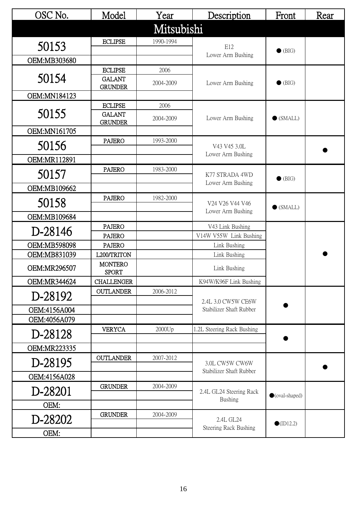| OSC No.             | Model                           | Year       | Description                               | Front                   | Rear |
|---------------------|---------------------------------|------------|-------------------------------------------|-------------------------|------|
|                     |                                 | Mitsubishi |                                           |                         |      |
| 50153               | <b>ECLIPSE</b>                  | 1990-1994  | E12                                       |                         |      |
|                     |                                 |            | Lower Arm Bushing                         | $\bullet$ (BIG)         |      |
| OEM:MB303680        |                                 |            |                                           |                         |      |
|                     | <b>ECLIPSE</b>                  | 2006       |                                           |                         |      |
| 50154               | <b>GALANT</b><br><b>GRUNDER</b> | 2004-2009  | Lower Arm Bushing                         | $\bullet$ (BIG)         |      |
| OEM:MN184123        |                                 |            |                                           |                         |      |
|                     | <b>ECLIPSE</b>                  | 2006       |                                           |                         |      |
| 50155               | <b>GALANT</b>                   | 2004-2009  | Lower Arm Bushing                         | $\bullet$ (SMALL)       |      |
| OEM:MN161705        | <b>GRUNDER</b>                  |            |                                           |                         |      |
|                     | <b>PAJERO</b>                   | 1993-2000  |                                           |                         |      |
| 50156               |                                 |            | V43 V45 3.0L<br>Lower Arm Bushing         |                         |      |
| OEM:MR112891        |                                 |            |                                           |                         |      |
| 50157               | <b>PAJERO</b>                   | 1983-2000  | K77 STRADA 4WD<br>Lower Arm Bushing       |                         |      |
|                     |                                 |            |                                           | $\bullet$ (BIG)         |      |
| OEM:MB109662        |                                 |            |                                           |                         |      |
| 50158               | <b>PAJERO</b>                   | 1982-2000  | V24 V26 V44 V46<br>Lower Arm Bushing      | $\bullet$ (SMALL)       |      |
| OEM:MB109684        |                                 |            |                                           |                         |      |
|                     | <b>PAJERO</b>                   |            | V43 Link Bushing                          |                         |      |
| D-28146             | <b>PAJERO</b>                   |            | V14W V55W Link Bushing                    |                         |      |
| OEM:MB598098        | <b>PAJERO</b>                   |            | Link Bushing                              |                         |      |
| OEM:MB831039        | L200/TRITON                     |            | Link Bushing                              |                         |      |
| OEM:MR296507        | <b>MONTERO</b><br><b>SPORT</b>  |            | Link Bushing                              |                         |      |
| OEM:MR344624        | <b>CHALLENGER</b>               |            | K94W/K96F Link Bushing                    |                         |      |
|                     | <b>OUTLANDER</b>                | 2006-2012  |                                           |                         |      |
| D-28192             |                                 |            | 2.4L 3.0 CW5W CE6W                        |                         |      |
| OEM:4156A004        |                                 |            | Stabilizer Shaft Rubber                   |                         |      |
| OEM:4056A079        |                                 |            |                                           |                         |      |
| D-28128             | <b>VERYCA</b>                   | 2000Up     | 1.2L Steering Rack Bushing                |                         |      |
| <b>OEM:MR223335</b> |                                 |            |                                           |                         |      |
|                     | <b>OUTLANDER</b>                | 2007-2012  |                                           |                         |      |
| D-28195             |                                 |            | 3.0L CW5W CW6W<br>Stabilizer Shaft Rubber |                         |      |
| OEM:4156A028        |                                 |            |                                           |                         |      |
| D-28201             | <b>GRUNDER</b>                  | 2004-2009  | 2.4L GL24 Steering Rack                   | $\bullet$ (oval-shaped) |      |
| OEM:                |                                 |            | <b>Bushing</b>                            |                         |      |
|                     | <b>GRUNDER</b>                  | 2004-2009  |                                           |                         |      |
| D-28202             |                                 |            | 2.4L GL24<br><b>Steering Rack Bushing</b> | $\bullet$ (ID12.2)      |      |
| OEM:                |                                 |            |                                           |                         |      |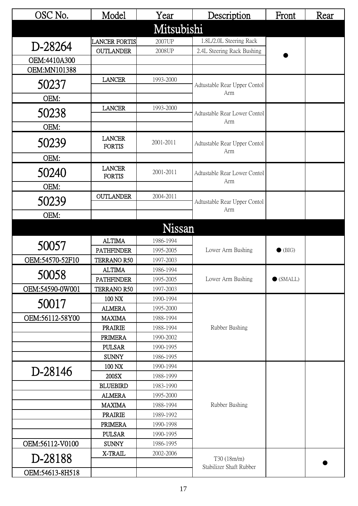| OSC No.         | Model                          | Year                   | Description                                                                                                                 | Front             | Rear |
|-----------------|--------------------------------|------------------------|-----------------------------------------------------------------------------------------------------------------------------|-------------------|------|
|                 |                                | Mitsubishi             |                                                                                                                             |                   |      |
|                 | <b>LANCER FORTIS</b>           | 2007UP                 | 1.8L/2.0L Steering Rack                                                                                                     |                   |      |
| D-28264         | <b>OUTLANDER</b>               | 2008UP                 | 2.4L Steering Rack Bushing                                                                                                  |                   |      |
| OEM:4410A300    |                                |                        |                                                                                                                             |                   |      |
| OEM:MN101388    |                                |                        |                                                                                                                             |                   |      |
| 50237           | <b>LANCER</b>                  | 1993-2000              | Adtustable Rear Upper Contol                                                                                                |                   |      |
| OEM:            |                                |                        | Arm                                                                                                                         |                   |      |
|                 | <b>LANCER</b>                  | 1993-2000              |                                                                                                                             |                   |      |
| 50238           |                                |                        | Adtustable Rear Lower Contol<br>Arm                                                                                         |                   |      |
| OEM:            |                                |                        |                                                                                                                             |                   |      |
| 50239           | <b>LANCER</b>                  | 2001-2011              |                                                                                                                             |                   |      |
|                 | <b>FORTIS</b>                  |                        |                                                                                                                             |                   |      |
| OEM:            |                                |                        | Adtustable Rear Upper Contol<br>Arm<br>Adtustable Rear Lower Contol<br>Arm<br>Arm<br>Lower Arm Bushing<br>Lower Arm Bushing |                   |      |
| 50240           | <b>LANCER</b>                  | 2001-2011              |                                                                                                                             |                   |      |
|                 | <b>FORTIS</b>                  |                        |                                                                                                                             |                   |      |
| OEM:            |                                |                        |                                                                                                                             |                   |      |
| 50239           | <b>OUTLANDER</b>               | 2004-2011              | Adtustable Rear Upper Contol                                                                                                |                   |      |
|                 |                                |                        |                                                                                                                             |                   |      |
| OEM:            |                                |                        |                                                                                                                             |                   |      |
|                 |                                | Nissan                 |                                                                                                                             |                   |      |
| 50057           | <b>ALTIMA</b>                  | 1986-1994              |                                                                                                                             |                   |      |
|                 | <b>PATHFINDER</b>              | 1995-2005              |                                                                                                                             | $\bullet$ (BIG)   |      |
| OEM:54570-52F10 | TERRANO R50                    | 1997-2003              |                                                                                                                             |                   |      |
| 50058           | <b>ALTIMA</b>                  | 1986-1994              |                                                                                                                             |                   |      |
|                 | <b>PATHFINDER</b>              | 1995-2005              |                                                                                                                             | $\bullet$ (SMALL) |      |
| OEM:54590-0W001 | TERRANO R50                    | 1997-2003              |                                                                                                                             |                   |      |
| 50017           | 100 NX                         | 1990-1994              |                                                                                                                             |                   |      |
| OEM:56112-58Y00 | <b>ALMERA</b><br><b>MAXIMA</b> | 1995-2000              |                                                                                                                             |                   |      |
|                 | <b>PRAIRIE</b>                 | 1988-1994<br>1988-1994 | Rubber Bushing                                                                                                              |                   |      |
|                 | <b>PRIMERA</b>                 | 1990-2002              |                                                                                                                             |                   |      |
|                 | <b>PULSAR</b>                  | 1990-1995              |                                                                                                                             |                   |      |
|                 | <b>SUNNY</b>                   | 1986-1995              |                                                                                                                             |                   |      |
|                 | 100 NX                         | 1990-1994              |                                                                                                                             |                   |      |
| D-28146         | 200SX                          | 1988-1999              |                                                                                                                             |                   |      |
|                 | <b>BLUEBIRD</b>                | 1983-1990              |                                                                                                                             |                   |      |
|                 | <b>ALMERA</b>                  | 1995-2000              |                                                                                                                             |                   |      |
|                 | <b>MAXIMA</b>                  | 1988-1994              | Rubber Bushing                                                                                                              |                   |      |
|                 | <b>PRAIRIE</b>                 | 1989-1992              |                                                                                                                             |                   |      |
|                 | <b>PRIMERA</b>                 | 1990-1998              |                                                                                                                             |                   |      |
|                 | <b>PULSAR</b>                  | 1990-1995              |                                                                                                                             |                   |      |
| OEM:56112-V0100 | <b>SUNNY</b>                   | 1986-1995              |                                                                                                                             |                   |      |
| D-28188         | X-TRAIL                        | 2002-2006              | T30 (18m/m)                                                                                                                 |                   |      |
| OEM:54613-8H518 |                                |                        | Stabilizer Shaft Rubber                                                                                                     |                   |      |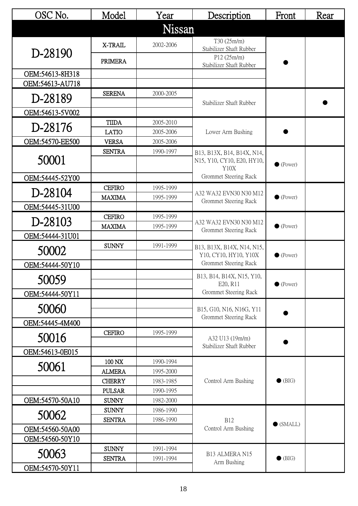| OSC No.         | Model                   | Year                   | Description                                    | Front             | Rear |
|-----------------|-------------------------|------------------------|------------------------------------------------|-------------------|------|
|                 |                         | Nissan                 |                                                |                   |      |
| D-28190         | X-TRAIL                 | 2002-2006              | T30 (25m/m)<br>Stabilizer Shaft Rubber         |                   |      |
|                 | PRIMERA                 |                        | P12(25m/m)<br>Stabilizer Shaft Rubber          |                   |      |
| OEM:54613-8H318 |                         |                        |                                                |                   |      |
| OEM:54613-AU718 |                         |                        |                                                |                   |      |
| D-28189         | <b>SERENA</b>           | 2000-2005              | Stabilizer Shaft Rubber                        |                   |      |
| OEM:54613-5V002 |                         |                        |                                                |                   |      |
|                 | <b>TIIDA</b>            | 2005-2010              |                                                |                   |      |
| D-28176         | <b>LATIO</b>            | 2005-2006              | Lower Arm Bushing                              |                   |      |
| OEM:54570-EE500 | <b>VERSA</b>            | 2005-2006              |                                                |                   |      |
|                 | <b>SENTRA</b>           | 1990-1997              | B13, B13X, B14, B14X, N14,                     |                   |      |
| 50001           |                         |                        | N15, Y10, CY10, E20, HY10,                     | $\bullet$ (Power) |      |
|                 |                         |                        | <b>Y10X</b><br>Grommet Steering Rack           |                   |      |
| OEM:54445-52Y00 | <b>CEFIRO</b>           |                        |                                                |                   |      |
| D-28104         | <b>MAXIMA</b>           | 1995-1999<br>1995-1999 | A32 WA32 EVN30 N30 M12                         | $\bullet$ (Power) |      |
| OEM:54445-31U00 |                         |                        | Grommet Steering Rack                          |                   |      |
|                 | <b>CEFIRO</b>           | 1995-1999              |                                                |                   |      |
| D-28103         | <b>MAXIMA</b>           | 1995-1999              | A32 WA32 EVN30 N30 M12                         | $\bullet$ (Power) |      |
| OEM:54444-31U01 |                         |                        | Grommet Steering Rack                          |                   |      |
| 50002           | <b>SUNNY</b>            | 1991-1999              | B13, B13X, B14X, N14, N15,                     |                   |      |
|                 |                         |                        | Y10, CY10, HY10, Y10X<br>Grommet Steering Rack | $\bullet$ (Power) |      |
| OEM:54444-50Y10 |                         |                        |                                                |                   |      |
| 50059           |                         |                        | B13, B14, B14X, N15, Y10,<br>E20, R11          | $\bullet$ (Power) |      |
| OEM:54444-50Y11 |                         |                        | Grommet Steering Rack                          |                   |      |
| 50060           |                         |                        | B15, G10, N16, N16G, Y11                       |                   |      |
| OEM:54445-4M400 |                         |                        | Grommet Steering Rack                          |                   |      |
| 50016           | <b>CEFIRO</b>           | 1995-1999              | A32 U13 (19m/m)                                |                   |      |
|                 |                         |                        | Stabilizer Shaft Rubber                        |                   |      |
| OEM:54613-0E015 |                         |                        |                                                |                   |      |
| 50061           | 100 NX<br><b>ALMERA</b> | 1990-1994<br>1995-2000 |                                                |                   |      |
|                 | <b>CHERRY</b>           | 1983-1985              | Control Arm Bushing                            | $\bullet$ (BIG)   |      |
|                 | <b>PULSAR</b>           | 1990-1995              |                                                |                   |      |
| OEM:54570-50A10 | <b>SUNNY</b>            | 1982-2000              |                                                |                   |      |
|                 | <b>SUNNY</b>            | 1986-1990              |                                                |                   |      |
| 50062           | <b>SENTRA</b>           | 1986-1990              | <b>B12</b>                                     |                   |      |
| OEM:54560-50A00 |                         |                        | Control Arm Bushing                            | $\bullet$ (SMALL) |      |
| OEM:54560-50Y10 |                         |                        |                                                |                   |      |
|                 | <b>SUNNY</b>            | 1991-1994              |                                                |                   |      |
| 50063           | <b>SENTRA</b>           | 1991-1994              | B13 ALMERA N15<br>Arm Bushing                  | $\bullet$ (BIG)   |      |
| OEM:54570-50Y11 |                         |                        |                                                |                   |      |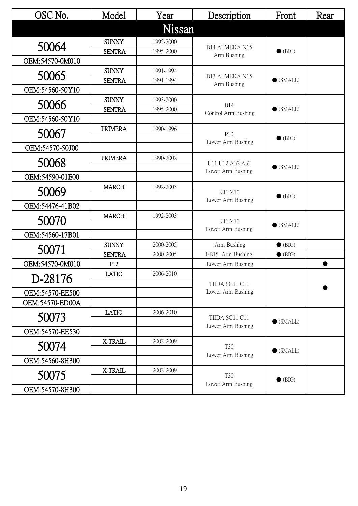| OSC No.         | Model                         | Year                   | Description                          | Front             | Rear |
|-----------------|-------------------------------|------------------------|--------------------------------------|-------------------|------|
|                 |                               | Nissan                 |                                      |                   |      |
| 50064           | <b>SUNNY</b>                  | 1995-2000              |                                      |                   |      |
|                 | <b>SENTRA</b>                 | 1995-2000              | B14 ALMERA N15<br>Arm Bushing        | $\bullet$ (BIG)   |      |
| OEM:54570-0M010 |                               |                        |                                      |                   |      |
| 50065           | <b>SUNNY</b>                  | 1991-1994              | B13 ALMERA N15                       |                   |      |
|                 | <b>SENTRA</b>                 | 1991-1994              | Arm Bushing                          | $\bullet$ (SMALL) |      |
| OEM:54560-50Y10 |                               |                        |                                      |                   |      |
| 50066           | <b>SUNNY</b><br><b>SENTRA</b> | 1995-2000<br>1995-2000 | <b>B14</b>                           | $\bullet$ (SMALL) |      |
| OEM:54560-50Y10 |                               |                        | Control Arm Bushing                  |                   |      |
|                 | <b>PRIMERA</b>                | 1990-1996              |                                      |                   |      |
| 50067           |                               |                        | P10                                  | $\bullet$ (BIG)   |      |
| OEM:54570-50J00 |                               |                        | Lower Arm Bushing                    |                   |      |
|                 | <b>PRIMERA</b>                | 1990-2002              |                                      |                   |      |
| 50068           |                               |                        | U11 U12 A32 A33<br>Lower Arm Bushing | $\bullet$ (SMALL) |      |
| OEM:54590-01E00 |                               |                        |                                      |                   |      |
| 50069           | <b>MARCH</b>                  | 1992-2003              | K11 Z10                              | $\bullet$ (BIG)   |      |
|                 |                               |                        | Lower Arm Bushing                    |                   |      |
| OEM:54476-41B02 |                               |                        |                                      |                   |      |
| 50070           | <b>MARCH</b>                  | 1992-2003              | K11 Z10                              |                   |      |
| OEM:54560-17B01 |                               |                        | Lower Arm Bushing                    | $\bullet$ (SMALL) |      |
|                 | <b>SUNNY</b>                  | 2000-2005              | Arm Bushing                          | $\bullet$ (BIG)   |      |
| 50071           | <b>SENTRA</b>                 | 2000-2005              | FB15 Arm Bushing                     | $\bullet$ (BIG)   |      |
| OEM:54570-0M010 | P <sub>12</sub>               |                        | Lower Arm Bushing                    |                   |      |
|                 | <b>LATIO</b>                  | 2006-2010              |                                      |                   |      |
| D-28176         |                               |                        | TIIDA SC11 C11                       |                   |      |
| OEM:54570-EE500 |                               |                        | Lower Arm Bushing                    |                   |      |
| OEM:54570-ED00A |                               |                        |                                      |                   |      |
| 50073           | <b>LATIO</b>                  | 2006-2010              | TIIDA SC11 C11                       |                   |      |
|                 |                               |                        | Lower Arm Bushing                    | $\bullet$ (SMALL) |      |
| OEM:54570-EE530 |                               |                        |                                      |                   |      |
| 50074           | X-TRAIL                       | 2002-2009              | T <sub>30</sub>                      | $\bullet$ (SMALL) |      |
| OEM:54560-8H300 |                               |                        | Lower Arm Bushing                    |                   |      |
|                 | X-TRAIL                       | 2002-2009              |                                      |                   |      |
| 50075           |                               |                        | <b>T30</b>                           | $\bullet$ (BIG)   |      |
| OEM:54570-8H300 |                               |                        | Lower Arm Bushing                    |                   |      |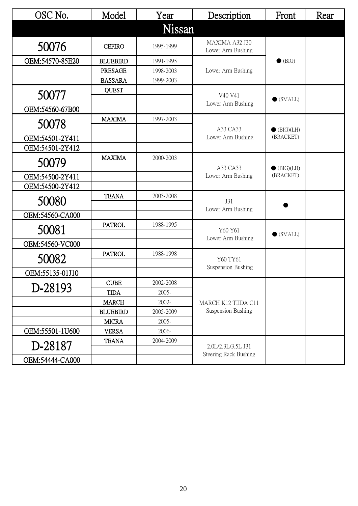| OSC No.         | Model           | Year      | Description                         | Front                            | Rear |
|-----------------|-----------------|-----------|-------------------------------------|----------------------------------|------|
|                 |                 | Nissan    |                                     |                                  |      |
| 50076           | <b>CEFIRO</b>   | 1995-1999 | MAXIMA A32 J30<br>Lower Arm Bushing |                                  |      |
| OEM:54570-85E20 | <b>BLUEBIRD</b> | 1991-1995 |                                     | $\bullet$ (BIG)                  |      |
|                 | PRESAGE         | 1998-2003 | Lower Arm Bushing                   |                                  |      |
|                 | <b>BASSARA</b>  | 1999-2003 |                                     |                                  |      |
| 50077           | <b>QUEST</b>    |           | V40 V41<br>Lower Arm Bushing        | $\bullet$ (SMALL)                |      |
| OEM:54560-67B00 |                 |           |                                     |                                  |      |
| 50078           | <b>MAXIMA</b>   | 1997-2003 | A33 CA33                            | $\bullet$ (BIG)(LH)              |      |
| OEM:54501-2Y411 |                 |           | Lower Arm Bushing                   | (BRACKET)                        |      |
| OEM:54501-2Y412 |                 |           |                                     |                                  |      |
| 50079           | <b>MAXIMA</b>   | 2000-2003 | A33 CA33                            | $\bullet$ (BIG)(LH)<br>(BRACKET) |      |
| OEM:54500-2Y411 |                 |           | Lower Arm Bushing                   |                                  |      |
| OEM:54500-2Y412 |                 |           |                                     |                                  |      |
| 50080           | <b>TEANA</b>    | 2003-2008 | J31<br>Lower Arm Bushing            |                                  |      |
| OEM:54560-CA000 |                 |           |                                     |                                  |      |
| 50081           | <b>PATROL</b>   | 1988-1995 | Y60 Y61<br>Lower Arm Bushing        | $\bullet$ (SMALL)                |      |
| OEM:54560-VC000 |                 |           |                                     |                                  |      |
| 50082           | <b>PATROL</b>   | 1988-1998 | Y60 TY61                            |                                  |      |
| OEM:55135-01J10 |                 |           | Suspension Bushing                  |                                  |      |
|                 | <b>CUBE</b>     | 2002-2008 |                                     |                                  |      |
| D-28193         | <b>TIDA</b>     | 2005-     |                                     |                                  |      |
|                 | <b>MARCH</b>    | 2002-     | MARCH K12 TIIDA C11                 |                                  |      |
|                 | <b>BLUEBIRD</b> | 2005-2009 | Suspension Bushing                  |                                  |      |
|                 | <b>MICRA</b>    | 2005-     |                                     |                                  |      |
| OEM:55501-1U600 | <b>VERSA</b>    | 2006-     |                                     |                                  |      |
| D-28187         | <b>TEANA</b>    | 2004-2009 | 2.0L/2.3L/3.5L J31                  |                                  |      |
| OEM:54444-CA000 |                 |           | <b>Steering Rack Bushing</b>        |                                  |      |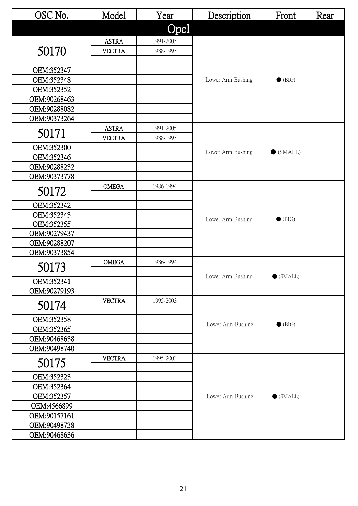| OSC No.                    | Model         | Year      | Description       | Front             | Rear |
|----------------------------|---------------|-----------|-------------------|-------------------|------|
|                            |               | Opel      |                   |                   |      |
|                            | <b>ASTRA</b>  | 1991-2005 |                   |                   |      |
| 50170                      | <b>VECTRA</b> | 1988-1995 |                   |                   |      |
|                            |               |           |                   |                   |      |
| OEM:352347                 |               |           |                   |                   |      |
| OEM:352348                 |               |           | Lower Arm Bushing | $\bullet$ (BIG)   |      |
| OEM:352352<br>OEM:90268463 |               |           |                   |                   |      |
| OEM:90288082               |               |           |                   |                   |      |
| OEM:90373264               |               |           |                   |                   |      |
|                            | <b>ASTRA</b>  | 1991-2005 |                   |                   |      |
| 50171                      | <b>VECTRA</b> | 1988-1995 |                   |                   |      |
| OEM:352300                 |               |           |                   |                   |      |
| OEM:352346                 |               |           | Lower Arm Bushing | $\bullet$ (SMALL) |      |
| OEM:90288232               |               |           |                   |                   |      |
| OEM:90373778               |               |           |                   |                   |      |
| 50172                      | <b>OMEGA</b>  | 1986-1994 |                   |                   |      |
| OEM:352342                 |               |           |                   |                   |      |
| OEM:352343                 |               |           |                   | $\bullet$ (BIG)   |      |
| OEM:352355                 |               |           | Lower Arm Bushing |                   |      |
| OEM:90279437               |               |           |                   |                   |      |
| OEM:90288207               |               |           |                   |                   |      |
| OEM:90373854               |               |           |                   |                   |      |
| 50173                      | <b>OMEGA</b>  | 1986-1994 |                   |                   |      |
| OEM:352341                 |               |           | Lower Arm Bushing | $\bullet$ (SMALL) |      |
| OEM:90279193               |               |           |                   |                   |      |
|                            | <b>VECTRA</b> | 1995-2003 |                   |                   |      |
| 50174                      |               |           |                   |                   |      |
| OEM:352358                 |               |           | Lower Arm Bushing | $\bullet$ (BIG)   |      |
| OEM:352365                 |               |           |                   |                   |      |
| OEM:90468638               |               |           |                   |                   |      |
| OEM:90498740               |               |           |                   |                   |      |
| 50175                      | <b>VECTRA</b> | 1995-2003 |                   |                   |      |
| OEM:352323                 |               |           |                   |                   |      |
| OEM:352364                 |               |           |                   |                   |      |
| OEM:352357                 |               |           | Lower Arm Bushing | $\bullet$ (SMALL) |      |
| OEM:4566899                |               |           |                   |                   |      |
| OEM:90157161               |               |           |                   |                   |      |
| OEM:90498738               |               |           |                   |                   |      |
| OEM:90468636               |               |           |                   |                   |      |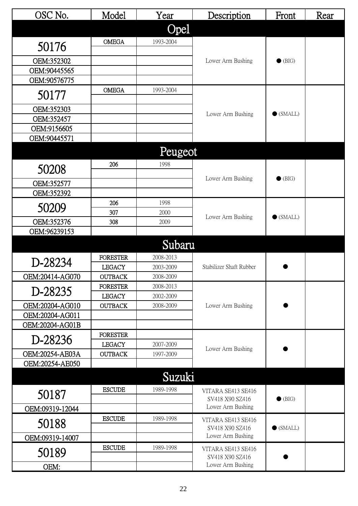| OSC No.         | Model           | Year      | Description                           | Front             | Rear |
|-----------------|-----------------|-----------|---------------------------------------|-------------------|------|
|                 |                 | Opel      |                                       |                   |      |
|                 | <b>OMEGA</b>    | 1993-2004 |                                       |                   |      |
| 50176           |                 |           |                                       |                   |      |
| OEM:352302      |                 |           | Lower Arm Bushing                     | $\bullet$ (BIG)   |      |
| OEM:90445565    |                 |           |                                       |                   |      |
| OEM:90576775    |                 |           |                                       |                   |      |
| 50177           | <b>OMEGA</b>    | 1993-2004 |                                       |                   |      |
| OEM:352303      |                 |           |                                       |                   |      |
| OEM:352457      |                 |           | Lower Arm Bushing                     | $\bullet$ (SMALL) |      |
| OEM:9156605     |                 |           |                                       |                   |      |
| OEM:90445571    |                 |           |                                       |                   |      |
|                 |                 | Peugeot   |                                       |                   |      |
|                 | 206             | 1998      |                                       |                   |      |
| 50208           |                 |           | Lower Arm Bushing                     | $\bullet$ (BIG)   |      |
| OEM:352577      |                 |           |                                       |                   |      |
| OEM:352392      |                 |           |                                       |                   |      |
| 50209           | 206             | 1998      |                                       |                   |      |
|                 | 307             | 2000      | Lower Arm Bushing                     | $\bullet$ (SMALL) |      |
| OEM:352376      | 308             | 2009      |                                       |                   |      |
| OEM:96239153    |                 |           |                                       |                   |      |
|                 |                 | Subaru    |                                       |                   |      |
| D-28234         | <b>FORESTER</b> | 2008-2013 | Stabilizer Shaft Rubber               |                   |      |
|                 | <b>LEGACY</b>   | 2003-2009 |                                       |                   |      |
| OEM:20414-AG070 | <b>OUTBACK</b>  | 2008-2009 |                                       |                   |      |
| D-28235         | <b>FORESTER</b> | 2008-2013 |                                       |                   |      |
|                 | <b>LEGACY</b>   | 2002-2009 |                                       |                   |      |
| OEM:20204-AG010 | <b>OUTBACK</b>  | 2008-2009 | Lower Arm Bushing                     |                   |      |
| OEM:20204-AG011 |                 |           |                                       |                   |      |
| OEM:20204-AG01B | <b>FORESTER</b> |           |                                       |                   |      |
| D-28236         | <b>LEGACY</b>   | 2007-2009 |                                       |                   |      |
| OEM:20254-AE03A | <b>OUTBACK</b>  | 1997-2009 | Lower Arm Bushing                     |                   |      |
| OEM:20254-AE050 |                 |           |                                       |                   |      |
|                 |                 | Suzuki    |                                       |                   |      |
|                 |                 |           |                                       |                   |      |
| 50187           | <b>ESCUDE</b>   | 1989-1998 | VITARA SE413 SE416<br>SV418 X90 SZ416 | $\bullet$ (BIG)   |      |
| OEM:09319-12044 |                 |           | Lower Arm Bushing                     |                   |      |
| 50188           | <b>ESCUDE</b>   | 1989-1998 | VITARA SE413 SE416                    |                   |      |
|                 |                 |           | SV418 X90 SZ416                       | $\bullet$ (SMALL) |      |
| OEM:09319-14007 |                 |           | Lower Arm Bushing                     |                   |      |
| 50189           | <b>ESCUDE</b>   | 1989-1998 | VITARA SE413 SE416<br>SV418 X90 SZ416 |                   |      |
| OEM:            |                 |           | Lower Arm Bushing                     |                   |      |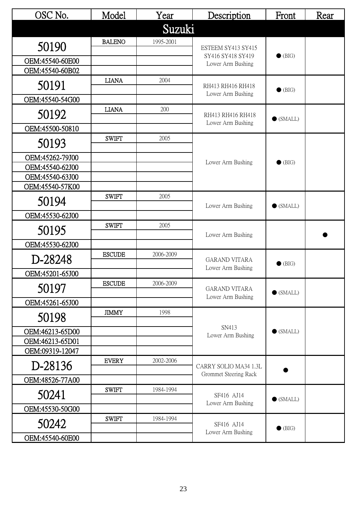| OSC No.         | Model         | Year      | Description                                    | Front             | Rear |
|-----------------|---------------|-----------|------------------------------------------------|-------------------|------|
|                 |               | Suzuki    |                                                |                   |      |
| 50190           | <b>BALENO</b> | 1995-2001 | ESTEEM SY413 SY415                             |                   |      |
| OEM:45540-60E00 |               |           | SY416 SY418 SY419<br>Lower Arm Bushing         | $\bullet$ (BIG)   |      |
| OEM:45540-60B02 |               |           |                                                |                   |      |
| 50191           | <b>LIANA</b>  | 2004      | RH413 RH416 RH418<br>Lower Arm Bushing         | $\bullet$ (BIG)   |      |
| OEM:45540-54G00 |               |           |                                                |                   |      |
| 50192           | <b>LIANA</b>  | 200       | RH413 RH416 RH418<br>Lower Arm Bushing         | $\bullet$ (SMALL) |      |
| OEM:45500-50810 |               |           |                                                |                   |      |
| 50193           | <b>SWIFT</b>  | 2005      |                                                |                   |      |
| OEM:45262-79J00 |               |           | Lower Arm Bushing                              | $\bullet$ (BIG)   |      |
| OEM:45540-62J00 |               |           |                                                |                   |      |
| OEM:45540-63J00 |               |           |                                                |                   |      |
| OEM:45540-57K00 | <b>SWIFT</b>  | 2005      |                                                |                   |      |
| 50194           |               |           | Lower Arm Bushing                              | $\bullet$ (SMALL) |      |
| OEM:45530-62J00 |               |           |                                                |                   |      |
| 50195           | <b>SWIFT</b>  | 2005      | Lower Arm Bushing                              |                   |      |
| OEM:45530-62J00 |               |           |                                                |                   |      |
| D-28248         | <b>ESCUDE</b> | 2006-2009 | <b>GARAND VITARA</b><br>Lower Arm Bushing      | $\bullet$ (BIG)   |      |
| OEM:45201-65J00 |               |           |                                                |                   |      |
| 50197           | <b>ESCUDE</b> | 2006-2009 | <b>GARAND VITARA</b><br>Lower Arm Bushing      | $\bullet$ (SMALL) |      |
| OEM:45261-65J00 |               |           |                                                |                   |      |
| 50198           | <b>JIMMY</b>  | 1998      |                                                |                   |      |
| OEM:46213-65D00 |               |           | SN413<br>Lower Arm Bushing                     | $\bullet$ (SMALL) |      |
| OEM:46213-65D01 |               |           |                                                |                   |      |
| OEM:09319-12047 |               |           |                                                |                   |      |
| D-28136         | <b>EVERY</b>  | 2002-2006 | CARRY SOLIO MA34 1.3L<br>Grommet Steering Rack |                   |      |
| OEM:48526-77A00 |               |           |                                                |                   |      |
| 50241           | <b>SWIFT</b>  | 1984-1994 | SF416 AJ14<br>Lower Arm Bushing                | $\bullet$ (SMALL) |      |
| OEM:45530-50G00 |               |           |                                                |                   |      |
| 50242           | <b>SWIFT</b>  | 1984-1994 | SF416 AJ14<br>Lower Arm Bushing                | $\bullet$ (BIG)   |      |
| OEM:45540-60E00 |               |           |                                                |                   |      |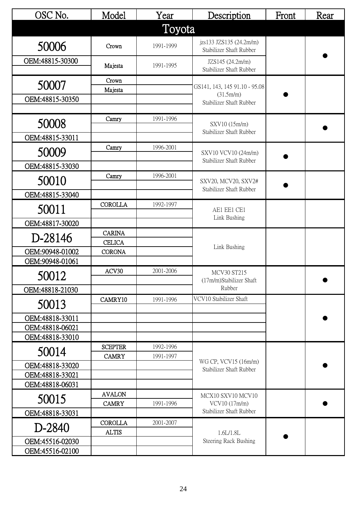| OSC No.                            | Model                          | Year                   | Description                                        | Front | Rear |
|------------------------------------|--------------------------------|------------------------|----------------------------------------------------|-------|------|
|                                    |                                | Toyota                 |                                                    |       |      |
| 50006                              | Crown                          | 1991-1999              | jzs133 JZS135 (24.2m/m)<br>Stabilizer Shaft Rubber |       |      |
| OEM:48815-30300                    | Majesta                        | 1991-1995              | JZS145 (24.2m/m)<br>Stabilizer Shaft Rubber        |       |      |
| 50007                              | Crown                          |                        | GS141, 143, 145 91.10 - 95.08                      |       |      |
| OEM:48815-30350                    | Majesta                        |                        | (31.5m/m)                                          |       |      |
|                                    |                                |                        | Stabilizer Shaft Rubber                            |       |      |
| 50008                              | Camry                          | 1991-1996              | SXV10 (15m/m)                                      |       |      |
| OEM:48815-33011                    |                                |                        | Stabilizer Shaft Rubber                            |       |      |
| 50009                              | Camry                          | 1996-2001              | SXV10 VCV10 (24m/m)                                |       |      |
| OEM:48815-33030                    |                                |                        | Stabilizer Shaft Rubber                            |       |      |
| 50010                              | Camry                          | 1996-2001              | SXV20, MCV20, SXV2#                                |       |      |
| OEM:48815-33040                    |                                |                        | Stabilizer Shaft Rubber                            |       |      |
| 50011                              | <b>COROLLA</b>                 | 1992-1997              | AE1 EE1 CE1<br>Link Bushing                        |       |      |
| OEM:48817-30020                    |                                |                        |                                                    |       |      |
|                                    | <b>CARINA</b>                  |                        |                                                    |       |      |
| D-28146                            | <b>CELICA</b>                  |                        | Link Bushing                                       |       |      |
| OEM:90948-01002<br>OEM:90948-01061 | <b>CORONA</b>                  |                        |                                                    |       |      |
|                                    | ACV30                          | 2001-2006              | <b>MCV30 ST215</b>                                 |       |      |
| 50012                              |                                |                        | (17m/m)Stabilizer Shaft                            |       |      |
| OEM:48818-21030                    |                                |                        | Rubber                                             |       |      |
| 50013                              | CAMRY10                        | 1991-1996              | VCV10 Stabilizer Shaft                             |       |      |
| OEM:48818-33011                    |                                |                        |                                                    |       |      |
| OEM:48818-06021                    |                                |                        |                                                    |       |      |
| OEM:48818-33010                    |                                |                        |                                                    |       |      |
| 50014                              | <b>SCEPTER</b><br><b>CAMRY</b> | 1992-1996<br>1991-1997 |                                                    |       |      |
| OEM:48818-33020                    |                                |                        | WG CP, VCV15 (16m/m)<br>Stabilizer Shaft Rubber    |       |      |
| OEM:48818-33021                    |                                |                        |                                                    |       |      |
| OEM:48818-06031                    |                                |                        |                                                    |       |      |
| 50015                              | <b>AVALON</b><br><b>CAMRY</b>  | 1991-1996              | MCX10 SXV10 MCV10<br>VCV10 (17m/m)                 |       |      |
| OEM:48818-33031                    |                                |                        | Stabilizer Shaft Rubber                            |       |      |
| D-2840                             | <b>COROLLA</b><br><b>ALTIS</b> | 2001-2007              | 1.6L/1.8L                                          |       |      |
| OEM:45516-02030                    |                                |                        | <b>Steering Rack Bushing</b>                       |       |      |
| OEM:45516-02100                    |                                |                        |                                                    |       |      |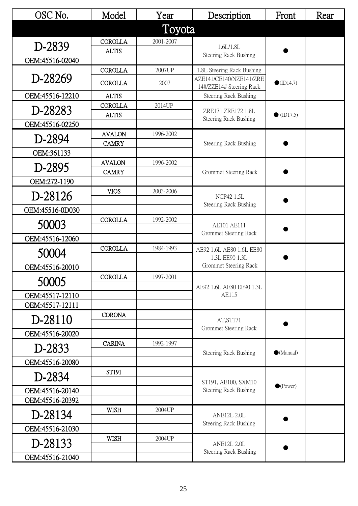| OSC No.         | Model                         | Year      | Description                                                                       | Front              | Rear |
|-----------------|-------------------------------|-----------|-----------------------------------------------------------------------------------|--------------------|------|
|                 |                               | Toyota    |                                                                                   |                    |      |
| D-2839          | <b>COROLLA</b>                | 2001-2007 | 1.6L/1.8L                                                                         |                    |      |
|                 | <b>ALTIS</b>                  |           | Steering Rack Bushing                                                             |                    |      |
| OEM:45516-02040 | <b>COROLLA</b>                | 2007UP    |                                                                                   |                    |      |
| D-28269         | <b>COROLLA</b>                | 2007      | 1.8L Steering Rack Bushing<br>AZE141/CE140/NZE141/ZRE<br>14#/ZZE14# Steering Rack | $\bullet$ (ID14.7) |      |
| OEM:45516-12210 | <b>ALTIS</b>                  |           | Steering Rack Bushing                                                             |                    |      |
| D-28283         | <b>COROLLA</b>                | 2014UP    | ZRE171 ZRE172 1.8L                                                                |                    |      |
| OEM:45516-02250 | <b>ALTIS</b>                  |           | <b>Steering Rack Bushing</b>                                                      | $\bullet$ (ID17.5) |      |
|                 | <b>AVALON</b>                 | 1996-2002 |                                                                                   |                    |      |
| D-2894          | <b>CAMRY</b>                  |           | Steering Rack Bushing                                                             |                    |      |
| OEM:361133      |                               |           |                                                                                   |                    |      |
| D-2895          | <b>AVALON</b><br><b>CAMRY</b> | 1996-2002 | Grommet Steering Rack                                                             |                    |      |
| OEM:272-1190    |                               |           |                                                                                   |                    |      |
| D-28126         | <b>VIOS</b>                   | 2003-2006 | <b>NCP42 1.5L</b><br><b>Steering Rack Bushing</b>                                 |                    |      |
| OEM:45516-0D030 |                               |           |                                                                                   |                    |      |
| 50003           | <b>COROLLA</b>                | 1992-2002 | AE101 AE111<br>Grommet Steering Rack                                              |                    |      |
| OEM:45516-12060 |                               |           |                                                                                   |                    |      |
|                 | <b>COROLLA</b>                | 1984-1993 | AE92 1.6L AE80 1.6L EE80                                                          |                    |      |
| 50004           |                               |           | 1.3L EE90 1.3L                                                                    |                    |      |
| OEM:45516-20010 |                               |           | Grommet Steering Rack                                                             |                    |      |
| 50005           | <b>COROLLA</b>                | 1997-2001 | AE92 1.6L AE80 EE90 1.3L                                                          |                    |      |
| OEM:45517-12110 |                               |           | AE115                                                                             |                    |      |
| OEM:45517-12111 |                               |           |                                                                                   |                    |      |
| D-28110         | <b>CORONA</b>                 |           | AT, ST171                                                                         |                    |      |
| OEM:45516-20020 |                               |           | Grommet Steering Rack                                                             |                    |      |
| D-2833          | <b>CARINA</b>                 | 1992-1997 | Steering Rack Bushing                                                             | $\bullet$ (Manual) |      |
| OEM:45516-20080 |                               |           |                                                                                   |                    |      |
| D-2834          | ST191                         |           | ST191, AE100, SXM10                                                               |                    |      |
| OEM:45516-20140 |                               |           | Steering Rack Bushing                                                             | $\bullet$ (Power)  |      |
| OEM:45516-20392 |                               |           |                                                                                   |                    |      |
| D-28134         | <b>WISH</b>                   | 2004UP    | <b>ANE12L 2.0L</b><br>Steering Rack Bushing                                       |                    |      |
| OEM:45516-21030 |                               |           |                                                                                   |                    |      |
| D-28133         | <b>WISH</b>                   | 2004UP    | <b>ANE12L 2.0L</b>                                                                |                    |      |
| OEM:45516-21040 |                               |           | <b>Steering Rack Bushing</b>                                                      |                    |      |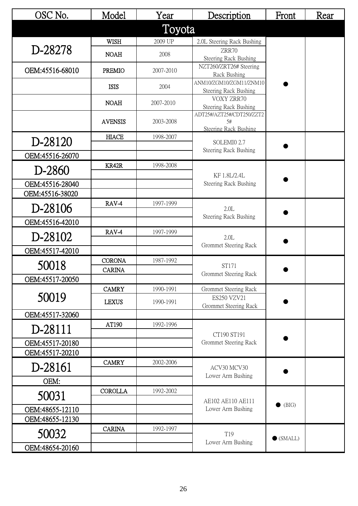| OSC No.         | Model                          | Year      | Description                                              | Front             | Rear |
|-----------------|--------------------------------|-----------|----------------------------------------------------------|-------------------|------|
|                 |                                | Toyota    |                                                          |                   |      |
|                 | <b>WISH</b>                    | 2009 UP   | 2.0L Steering Rack Bushing                               |                   |      |
| D-28278         | <b>NOAH</b>                    | 2008      | ZRR70<br>Steering Rack Bushing                           |                   |      |
| OEM:45516-68010 | <b>PREMIO</b>                  | 2007-2010 | NZT260/ZRT26# Steering<br>Rack Bushing                   |                   |      |
|                 | <b>ISIS</b>                    | 2004      | ANM10/ZGM10/ZGM11/ZNM10<br>Steering Rack Bushing         |                   |      |
|                 | <b>NOAH</b>                    | 2007-2010 | VOXY ZRR70<br>Steering Rack Bushing                      |                   |      |
|                 | <b>AVENSIS</b>                 | 2003-2008 | ADT25#/AZT25#/CDT250/ZZT2<br>5#<br>Steering Rack Bushing |                   |      |
| D-28120         | <b>HIACE</b>                   | 1998-2007 | SOLEMI0 2.7                                              |                   |      |
| OEM:45516-26070 |                                |           | Steering Rack Bushing                                    |                   |      |
| D-2860          | KR42R                          | 1998-2008 |                                                          |                   |      |
| OEM:45516-28040 |                                |           | KF 1.8L/2.4L<br>Steering Rack Bushing                    |                   |      |
| OEM:45516-38020 |                                |           |                                                          |                   |      |
| D-28106         | RAV-4                          | 1997-1999 | 2.0L<br>Steering Rack Bushing                            |                   |      |
| OEM:45516-42010 |                                |           |                                                          |                   |      |
| D-28102         | RAV-4                          | 1997-1999 | 2.0L<br>Grommet Steering Rack                            |                   |      |
| OEM:45517-42010 |                                |           |                                                          |                   |      |
| 50018           | <b>CORONA</b><br><b>CARINA</b> | 1987-1992 | ST171                                                    |                   |      |
| OEM:45517-20050 |                                |           | Grommet Steering Rack                                    |                   |      |
|                 | <b>CAMRY</b>                   | 1990-1991 | Grommet Steering Rack                                    |                   |      |
| 50019           | <b>LEXUS</b>                   | 1990-1991 | ES250 VZV21<br>Grommet Steering Rack                     |                   |      |
| OEM:45517-32060 |                                |           |                                                          |                   |      |
| D-28111         | AT190                          | 1992-1996 | CT190 ST191                                              |                   |      |
| OEM:45517-20180 |                                |           | Grommet Steering Rack                                    |                   |      |
| OEM:45517-20210 |                                |           |                                                          |                   |      |
| D-28161         | <b>CAMRY</b>                   | 2002-2006 | ACV30 MCV30<br>Lower Arm Bushing                         |                   |      |
| OEM:            |                                |           |                                                          |                   |      |
| 50031           | <b>COROLLA</b>                 | 1992-2002 | AE102 AE110 AE111                                        |                   |      |
| OEM:48655-12110 |                                |           | Lower Arm Bushing                                        | (BIG)             |      |
| OEM:48655-12130 |                                |           |                                                          |                   |      |
| 50032           | <b>CARINA</b>                  | 1992-1997 | T19<br>Lower Arm Bushing                                 | $\bullet$ (SMALL) |      |
| OEM:48654-20160 |                                |           |                                                          |                   |      |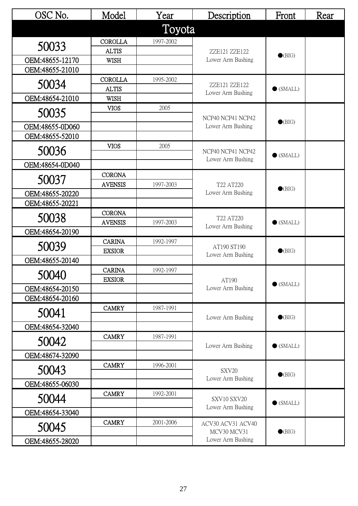| OSC No.                            | Model          | Year      | Description                      | Front             | Rear |
|------------------------------------|----------------|-----------|----------------------------------|-------------------|------|
|                                    |                | Toyota    |                                  |                   |      |
| 50033                              | <b>COROLLA</b> | 1997-2002 |                                  |                   |      |
|                                    | <b>ALTIS</b>   |           | ZZE121 ZZE122                    | $\bullet$ (BIG)   |      |
| OEM:48655-12170<br>OEM:48655-21010 | <b>WISH</b>    |           | Lower Arm Bushing                |                   |      |
|                                    | <b>COROLLA</b> | 1995-2002 |                                  |                   |      |
| 50034                              | <b>ALTIS</b>   |           | ZZE121 ZZE122                    | $\bullet$ (SMALL) |      |
| OEM:48654-21010                    | <b>WISH</b>    |           | Lower Arm Bushing                |                   |      |
| 50035                              | <b>VIOS</b>    | 2005      | NCP40 NCP41 NCP42                |                   |      |
|                                    |                |           |                                  | $\bullet$ (BIG)   |      |
| OEM:48655-0D060<br>OEM:48655-52010 |                |           | Lower Arm Bushing                |                   |      |
|                                    | <b>VIOS</b>    | 2005      |                                  |                   |      |
| 50036                              |                |           | NCP40 NCP41 NCP42                | $\bullet$ (SMALL) |      |
| OEM:48654-0D040                    |                |           | Lower Arm Bushing                |                   |      |
| 50037                              | <b>CORONA</b>  |           |                                  |                   |      |
|                                    | <b>AVENSIS</b> | 1997-2003 | T22 AT220<br>Lower Arm Bushing   | $\bullet$ (BIG)   |      |
| OEM:48655-20220                    |                |           |                                  |                   |      |
| OEM:48655-20221                    | <b>CORONA</b>  |           |                                  |                   |      |
| 50038                              | <b>AVENSIS</b> | 1997-2003 | T22 AT220<br>Lower Arm Bushing   | $\bullet$ (SMALL) |      |
| OEM:48654-20190                    |                |           |                                  |                   |      |
|                                    | <b>CARINA</b>  | 1992-1997 |                                  | $\bullet$ (BIG)   |      |
| 50039                              | <b>EXSIOR</b>  |           | AT190 ST190<br>Lower Arm Bushing |                   |      |
| OEM:48655-20140                    |                |           |                                  |                   |      |
| 50040                              | <b>CARINA</b>  | 1992-1997 |                                  | $\bullet$ (SMALL) |      |
| OEM:48654-20150                    | <b>EXSIOR</b>  |           | AT190<br>Lower Arm Bushing       |                   |      |
| OEM:48654-20160                    |                |           |                                  |                   |      |
|                                    | <b>CAMRY</b>   | 1987-1991 |                                  |                   |      |
| 50041                              |                |           | Lower Arm Bushing                | $\bullet$ (BIG)   |      |
| OEM:48654-32040                    |                |           |                                  |                   |      |
| 50042                              | <b>CAMRY</b>   | 1987-1991 | Lower Arm Bushing                | $\bullet$ (SMALL) |      |
| OEM:48674-32090                    |                |           |                                  |                   |      |
|                                    | <b>CAMRY</b>   | 1996-2001 |                                  |                   |      |
| 50043                              |                |           | SXV20<br>Lower Arm Bushing       | $\bullet$ (BIG)   |      |
| OEM:48655-06030                    |                |           |                                  |                   |      |
| 50044                              | <b>CAMRY</b>   | 1992-2001 | SXV10 SXV20                      |                   |      |
| OEM:48654-33040                    |                |           | Lower Arm Bushing                | $\bullet$ (SMALL) |      |
|                                    | <b>CAMRY</b>   | 2001-2006 | ACV30 ACV31 ACV40                |                   |      |
| 50045                              |                |           | MCV30 MCV31                      | $\bullet$ (BIG)   |      |
| OEM:48655-28020                    |                |           | Lower Arm Bushing                |                   |      |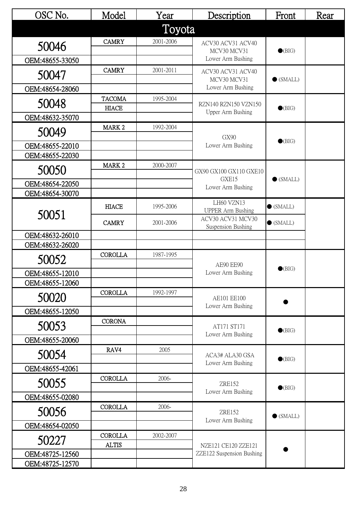| OSC No.                            | Model             | Year      | Description                             | Front             | Rear |
|------------------------------------|-------------------|-----------|-----------------------------------------|-------------------|------|
|                                    |                   | Toyota    |                                         |                   |      |
| 50046                              | <b>CAMRY</b>      | 2001-2006 | ACV30 ACV31 ACV40                       |                   |      |
| OEM:48655-33050                    |                   |           | MCV30 MCV31<br>Lower Arm Bushing        | $\bullet$ (BIG)   |      |
|                                    | <b>CAMRY</b>      | 2001-2011 | ACV30 ACV31 ACV40                       |                   |      |
| 50047                              |                   |           | MCV30 MCV31                             | $\bullet$ (SMALL) |      |
| OEM:48654-28060                    | <b>TACOMA</b>     | 1995-2004 | Lower Arm Bushing                       |                   |      |
| 50048                              | <b>HIACE</b>      |           | RZN140 RZN150 VZN150                    | $\bullet$ (BIG)   |      |
| OEM:48632-35070                    |                   |           | Upper Arm Bushing                       |                   |      |
| 50049                              | MARK <sub>2</sub> | 1992-2004 | GX90                                    |                   |      |
| OEM:48655-22010                    |                   |           | Lower Arm Bushing                       | $\bullet$ (BIG)   |      |
| OEM:48655-22030                    |                   |           |                                         |                   |      |
| 50050                              | MARK <sub>2</sub> | 2000-2007 | GX90 GX100 GX110 GXE10                  |                   |      |
| OEM:48654-22050                    |                   |           | GXE15<br>Lower Arm Bushing              | $\bullet$ (SMALL) |      |
| OEM:48654-30070                    |                   |           |                                         |                   |      |
|                                    | <b>HIACE</b>      | 1995-2006 | LH60 VZN13<br><b>UPPER Arm Bushing</b>  | $\bullet$ (SMALL) |      |
| 50051                              | <b>CAMRY</b>      | 2001-2006 | ACV30 ACV31 MCV30<br>Suspension Bushing | $\bullet$ (SMALL) |      |
| OEM:48632-26010                    |                   |           |                                         |                   |      |
| OEM:48632-26020                    |                   |           |                                         |                   |      |
| 50052                              | <b>COROLLA</b>    | 1987-1995 | AE90 EE90                               | $\bullet$ (BIG)   |      |
| OEM:48655-12010                    |                   |           | Lower Arm Bushing                       |                   |      |
| OEM:48655-12060                    |                   |           |                                         |                   |      |
| 50020                              | <b>COROLLA</b>    | 1992-1997 | AE101 EE100                             |                   |      |
| OEM:48655-12050                    |                   |           | Lower Arm Bushing                       |                   |      |
| 50053                              | <b>CORONA</b>     |           | AT171 ST171                             | $\bullet$ (BIG)   |      |
| OEM:48655-20060                    |                   |           | Lower Arm Bushing                       |                   |      |
| 50054                              | RAV4              | 2005      | ACA3# ALA30 GSA                         | $\bullet$ (BIG)   |      |
| OEM:48655-42061                    |                   |           | Lower Arm Bushing                       |                   |      |
| 50055                              | <b>COROLLA</b>    | 2006-     | <b>ZRE152</b>                           | $\bullet$ (BIG)   |      |
| OEM:48655-02080                    |                   |           | Lower Arm Bushing                       |                   |      |
| 50056                              | <b>COROLLA</b>    | 2006-     | <b>ZRE152</b>                           | $\bullet$ (SMALL) |      |
| OEM:48654-02050                    |                   |           | Lower Arm Bushing                       |                   |      |
| 50227                              | <b>COROLLA</b>    | 2002-2007 |                                         |                   |      |
|                                    | <b>ALTIS</b>      |           | NZE121 CE120 ZZE121                     |                   |      |
| OEM:48725-12560<br>OEM:48725-12570 |                   |           | ZZE122 Suspension Bushing               |                   |      |
|                                    |                   |           |                                         |                   |      |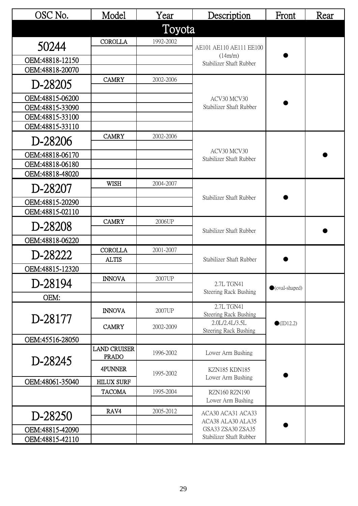| OSC No.         | Model                               | Year      | Description                               | Front                   | Rear |
|-----------------|-------------------------------------|-----------|-------------------------------------------|-------------------------|------|
|                 |                                     | Toyota    |                                           |                         |      |
| 50244           | <b>COROLLA</b>                      | 1992-2002 | AE101 AE110 AE111 EE100                   |                         |      |
| OEM:48818-12150 |                                     |           | (14m/m)<br>Stabilizer Shaft Rubber        |                         |      |
| OEM:48818-20070 |                                     |           |                                           |                         |      |
| D-28205         | <b>CAMRY</b>                        | 2002-2006 | ACV30 MCV30                               |                         |      |
| OEM:48815-06200 |                                     |           |                                           |                         |      |
| OEM:48815-33090 |                                     |           | Stabilizer Shaft Rubber                   |                         |      |
| OEM:48815-33100 |                                     |           |                                           |                         |      |
| OEM:48815-33110 |                                     |           |                                           |                         |      |
| D-28206         | <b>CAMRY</b>                        | 2002-2006 |                                           |                         |      |
| OEM:48818-06170 |                                     |           | ACV30 MCV30<br>Stabilizer Shaft Rubber    |                         |      |
| OEM:48818-06180 |                                     |           |                                           |                         |      |
| OEM:48818-48020 |                                     |           |                                           |                         |      |
| D-28207         | <b>WISH</b>                         | 2004-2007 | Stabilizer Shaft Rubber                   |                         |      |
| OEM:48815-20290 |                                     |           |                                           |                         |      |
| OEM:48815-02110 |                                     |           |                                           |                         |      |
| D-28208         | <b>CAMRY</b>                        | 2006UP    | Stabilizer Shaft Rubber                   |                         |      |
| OEM:48818-06220 |                                     |           |                                           |                         |      |
| D-28222         | <b>COROLLA</b>                      | 2001-2007 |                                           |                         |      |
|                 | <b>ALTIS</b>                        |           | Stabilizer Shaft Rubber                   |                         |      |
| OEM:48815-12320 |                                     |           |                                           |                         |      |
| D-28194         | <b>INNOVA</b>                       | 2007UP    | 2.7L TGN41<br>Steering Rack Bushing       | $\bullet$ (oval-shaped) |      |
| OEM:            |                                     |           |                                           |                         |      |
| D-28177         | <b>INNOVA</b>                       | 2007UP    | 2.7L TGN41<br>Steering Rack Bushing       | $\bullet$ (ID12.2)      |      |
|                 | <b>CAMRY</b>                        | 2002-2009 | 2.0L/2.4L/3.5L<br>Steering Rack Bushing   |                         |      |
| OEM:45516-28050 |                                     |           |                                           |                         |      |
|                 | <b>LAND CRUISER</b><br><b>PRADO</b> | 1996-2002 | Lower Arm Bushing                         |                         |      |
| D-28245         | 4PUNNER                             | 1995-2002 | <b>KZN185 KDN185</b>                      |                         |      |
| OEM:48061-35040 | <b>HILUX SURF</b>                   |           | Lower Arm Bushing                         |                         |      |
|                 | <b>TACOMA</b>                       | 1995-2004 | <b>RZN160 RZN190</b><br>Lower Arm Bushing |                         |      |
|                 | RAV4                                | 2005-2012 | ACA30 ACA31 ACA33                         |                         |      |
| D-28250         |                                     |           | ACA38 ALA30 ALA35                         |                         |      |
| OEM:48815-42090 |                                     |           | GSA33 ZSA30 ZSA35                         |                         |      |
| OEM:48815-42110 |                                     |           | Stabilizer Shaft Rubber                   |                         |      |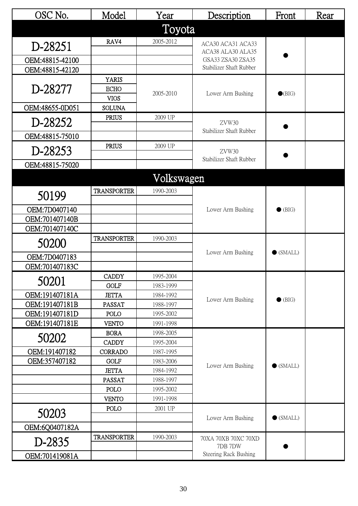| OSC No.                            | Model                | Year                   | Description                            | Front             | Rear |
|------------------------------------|----------------------|------------------------|----------------------------------------|-------------------|------|
|                                    |                      | Toyota                 |                                        |                   |      |
| D-28251                            | RAV4                 | 2005-2012              | ACA30 ACA31 ACA33                      |                   |      |
|                                    |                      |                        | ACA38 ALA30 ALA35<br>GSA33 ZSA30 ZSA35 |                   |      |
| OEM:48815-42100<br>OEM:48815-42120 |                      |                        | Stabilizer Shaft Rubber                |                   |      |
|                                    | <b>YARIS</b>         |                        |                                        |                   |      |
| D-28277                            | <b>ECHO</b>          |                        |                                        |                   |      |
|                                    | <b>VIOS</b>          | 2005-2010              | Lower Arm Bushing                      | $\bullet$ (BIG)   |      |
| OEM:48655-0D051                    | <b>SOLUNA</b>        |                        |                                        |                   |      |
| D-28252                            | <b>PRIUS</b>         | 2009 UP                | ZVW30                                  |                   |      |
| OEM:48815-75010                    |                      |                        | Stabilizer Shaft Rubber                |                   |      |
| D-28253                            | <b>PRIUS</b>         | 2009 UP                | ZVW30                                  |                   |      |
| OEM:48815-75020                    |                      |                        | Stabilizer Shaft Rubber                |                   |      |
|                                    |                      |                        |                                        |                   |      |
|                                    |                      | Volkswagen             |                                        |                   |      |
| 50199                              | <b>TRANSPORTER</b>   | 1990-2003              |                                        |                   |      |
| OEM:7D0407140                      |                      |                        | Lower Arm Bushing                      | $\bullet$ (BIG)   |      |
| OEM:701407140B                     |                      |                        |                                        |                   |      |
| OEM:701407140C                     |                      |                        |                                        |                   |      |
| 50200                              | <b>TRANSPORTER</b>   | 1990-2003              |                                        |                   |      |
| OEM:7D0407183                      |                      |                        | Lower Arm Bushing                      | $\bullet$ (SMALL) |      |
| OEM:701407183C                     |                      |                        |                                        |                   |      |
| 50201                              | <b>CADDY</b>         | 1995-2004              |                                        |                   |      |
|                                    | <b>GOLF</b>          | 1983-1999              |                                        |                   |      |
| OEM:191407181A                     | <b>JETTA</b>         | 1984-1992              | Lower Arm Bushing                      | $\bullet$ (BIG)   |      |
| OEM:191407181B                     | PASSAT               | 1988-1997              |                                        |                   |      |
| OEM:191407181D<br>OEM:191407181E   | POLO<br><b>VENTO</b> | 1995-2002<br>1991-1998 |                                        |                   |      |
|                                    | <b>BORA</b>          | 1998-2005              |                                        |                   |      |
| 50202                              | <b>CADDY</b>         | 1995-2004              |                                        |                   |      |
| OEM:191407182                      | <b>CORRADO</b>       | 1987-1995              |                                        |                   |      |
| OEM:357407182                      | <b>GOLF</b>          | 1983-2006              |                                        |                   |      |
|                                    | <b>JETTA</b>         | 1984-1992              | Lower Arm Bushing                      | $\bullet$ (SMALL) |      |
|                                    | <b>PASSAT</b>        | 1988-1997              |                                        |                   |      |
|                                    | POLO                 | 1995-2002              |                                        |                   |      |
|                                    | <b>VENTO</b>         | 1991-1998              |                                        |                   |      |
| 50203                              | POLO                 | 2001 UP                | Lower Arm Bushing                      | $\bullet$ (SMALL) |      |
| OEM:6Q0407182A                     |                      |                        |                                        |                   |      |
| D-2835                             | <b>TRANSPORTER</b>   | 1990-2003              | 70XA 70XB 70XC 70XD<br>7DB 7DW         |                   |      |
| OEM:701419081A                     |                      |                        | Steering Rack Bushing                  |                   |      |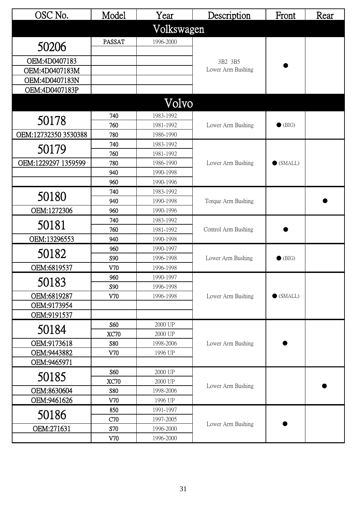| OSC No.              | Model         | Year                   | Description         | Front             | Rear |
|----------------------|---------------|------------------------|---------------------|-------------------|------|
|                      |               | Volkswagen             |                     |                   |      |
| 50206                | <b>PASSAT</b> | 1996-2000              |                     |                   |      |
| OEM:4D0407183        |               |                        | 3B2 3B5             |                   |      |
| OEM:4D0407183M       |               |                        | Lower Arm Bushing   |                   |      |
| OEM:4D0407183N       |               |                        |                     |                   |      |
| OEM:4D0407183P       |               |                        |                     |                   |      |
|                      |               | Volvo                  |                     |                   |      |
|                      | 740           |                        |                     |                   |      |
| 50178                | 760           | 1983-1992<br>1981-1992 | Lower Arm Bushing   | $\bullet$ (BIG)   |      |
| OEM:12732350 3530388 | 780           | 1986-1990              |                     |                   |      |
|                      | 740           | 1983-1992              |                     |                   |      |
| 50179                | 760           | 1981-1992              |                     |                   |      |
| OEM:1229297 1359599  | 780           | 1986-1990              | Lower Arm Bushing   | $\bullet$ (SMALL) |      |
|                      | 940           | 1990-1998              |                     |                   |      |
|                      | 960           | 1990-1996              |                     |                   |      |
|                      | 740           | 1983-1992              |                     |                   |      |
| 50180                | 940           | 1990-1998              | Torque Arm Bushing  |                   |      |
| OEM:1272306          | 960           | 1990-1996              |                     |                   |      |
|                      | 740           | 1983-1992              | Control Arm Bushing |                   |      |
| 50181                | 760           | 1981-1992              |                     |                   |      |
| OEM:13296553         | 940           | 1990-1998              |                     |                   |      |
|                      | 960           | 1990-1997              |                     |                   |      |
| 50182                | S90           | 1996-1998              | Lower Arm Bushing   | $\bullet$ (BIG)   |      |
| OEM:6819537          | V70           | 1996-1998              |                     |                   |      |
|                      | 960           | 1990-1997              |                     |                   |      |
| 50183                | S90           | 1996-1998              |                     |                   |      |
| OEM:6819287          | V70           | 1996-1998              | Lower Arm Bushing   | $\bullet$ (SMALL) |      |
| OEM:9173954          |               |                        |                     |                   |      |
| OEM:9191537          |               |                        |                     |                   |      |
| 50184                | S60           | 2000 UP                |                     |                   |      |
|                      | <b>XC70</b>   | 2000 UP                |                     |                   |      |
| OEM:9173618          | <b>S80</b>    | 1998-2006              | Lower Arm Bushing   |                   |      |
| OEM:9443882          | V70           | 1996 UP                |                     |                   |      |
| OEM:9465971          |               |                        |                     |                   |      |
| 50185                | S60           | 2000 UP                |                     |                   |      |
|                      | <b>XC70</b>   | 2000 UP                | Lower Arm Bushing   |                   |      |
| OEM:8630604          | S80           | 1998-2006              |                     |                   |      |
| OEM:9461626          | V70           | 1996 UP                |                     |                   |      |
| 50186                | 850           | 1991-1997              |                     |                   |      |
| OEM:271631           | C70<br>S70    | 1997-2005<br>1996-2000 | Lower Arm Bushing   |                   |      |
|                      |               |                        |                     |                   |      |
|                      | V70           | 1996-2000              |                     |                   |      |